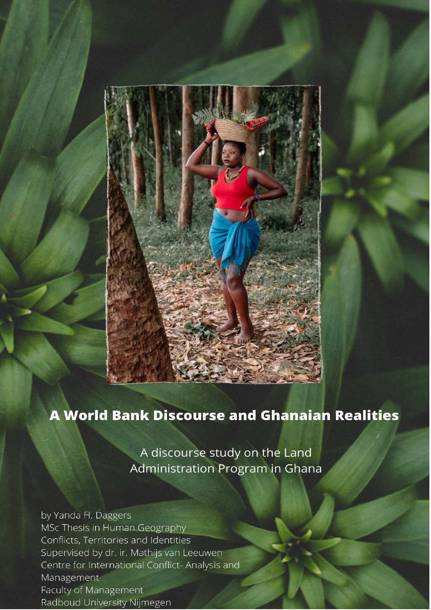

# **A World Bank Discourse and Ghanaian Realities**

A discourse study on the Land Administration Program in Ghana

by Yanda H. Daggers MSc Thesis in Human Geography Conflicts, Territories and Identities Supervised by dr. ir. Mathijs van Leeuwen Centre for International Conflict-Analysis and<br>Management Faculty of Management Radboud University Nijmegen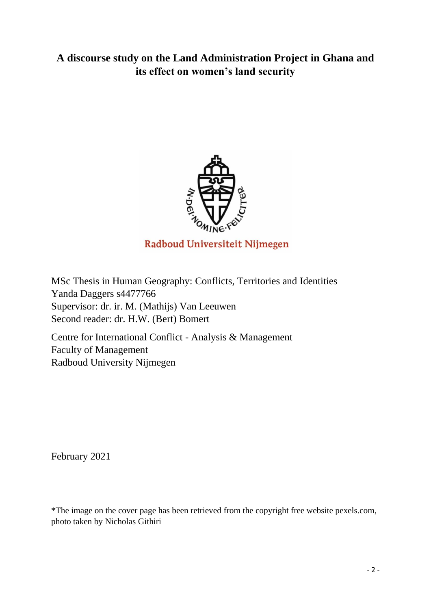## **A discourse study on the Land Administration Project in Ghana and its effect on women's land security**



MSc Thesis in Human Geography: Conflicts, Territories and Identities Yanda Daggers s4477766 Supervisor: dr. ir. M. (Mathijs) Van Leeuwen Second reader: dr. H.W. (Bert) Bomert

Centre for International Conflict - Analysis & Management Faculty of Management Radboud University Nijmegen

February 2021

\*The image on the cover page has been retrieved from the copyright free website pexels.com, photo taken by Nicholas Githiri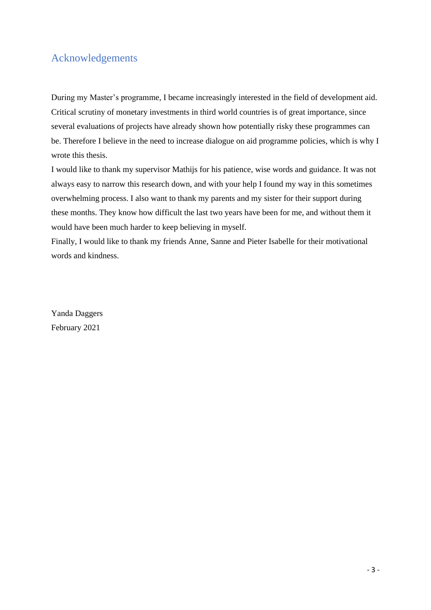## <span id="page-2-0"></span>Acknowledgements

During my Master's programme, I became increasingly interested in the field of development aid. Critical scrutiny of monetary investments in third world countries is of great importance, since several evaluations of projects have already shown how potentially risky these programmes can be. Therefore I believe in the need to increase dialogue on aid programme policies, which is why I wrote this thesis.

I would like to thank my supervisor Mathijs for his patience, wise words and guidance. It was not always easy to narrow this research down, and with your help I found my way in this sometimes overwhelming process. I also want to thank my parents and my sister for their support during these months. They know how difficult the last two years have been for me, and without them it would have been much harder to keep believing in myself.

Finally, I would like to thank my friends Anne, Sanne and Pieter Isabelle for their motivational words and kindness.

Yanda Daggers February 2021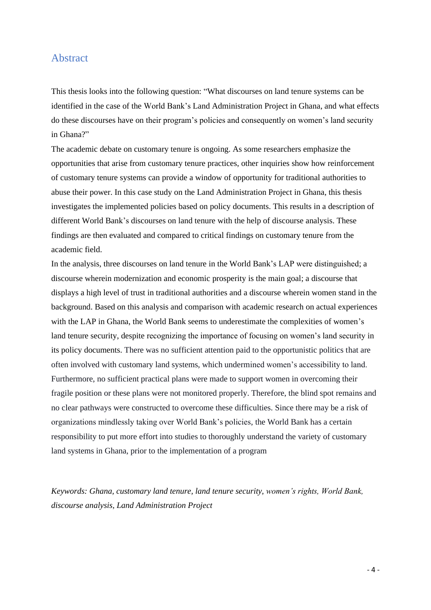## <span id="page-3-0"></span>Abstract

This thesis looks into the following question: "What discourses on land tenure systems can be identified in the case of the World Bank's Land Administration Project in Ghana, and what effects do these discourses have on their program's policies and consequently on women's land security in Ghana?"

The academic debate on customary tenure is ongoing. As some researchers emphasize the opportunities that arise from customary tenure practices, other inquiries show how reinforcement of customary tenure systems can provide a window of opportunity for traditional authorities to abuse their power. In this case study on the Land Administration Project in Ghana, this thesis investigates the implemented policies based on policy documents. This results in a description of different World Bank's discourses on land tenure with the help of discourse analysis. These findings are then evaluated and compared to critical findings on customary tenure from the academic field.

In the analysis, three discourses on land tenure in the World Bank's LAP were distinguished; a discourse wherein modernization and economic prosperity is the main goal; a discourse that displays a high level of trust in traditional authorities and a discourse wherein women stand in the background. Based on this analysis and comparison with academic research on actual experiences with the LAP in Ghana, the World Bank seems to underestimate the complexities of women's land tenure security, despite recognizing the importance of focusing on women's land security in its policy documents. There was no sufficient attention paid to the opportunistic politics that are often involved with customary land systems, which undermined women's accessibility to land. Furthermore, no sufficient practical plans were made to support women in overcoming their fragile position or these plans were not monitored properly. Therefore, the blind spot remains and no clear pathways were constructed to overcome these difficulties. Since there may be a risk of organizations mindlessly taking over World Bank's policies, the World Bank has a certain responsibility to put more effort into studies to thoroughly understand the variety of customary land systems in Ghana, prior to the implementation of a program

*Keywords: Ghana, customary land tenure, land tenure security, women's rights, World Bank, discourse analysis, Land Administration Project*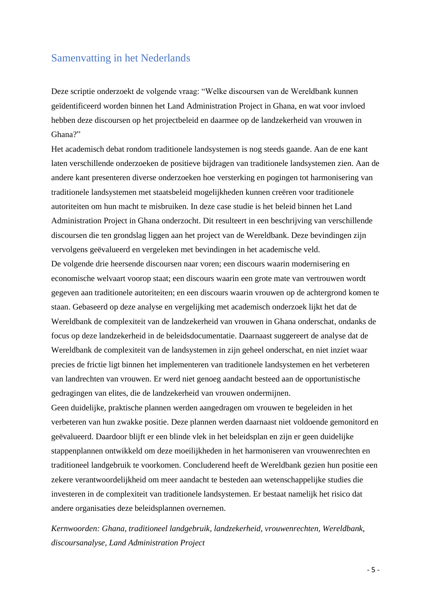## <span id="page-4-0"></span>Samenvatting in het Nederlands

Deze scriptie onderzoekt de volgende vraag: "Welke discoursen van de Wereldbank kunnen geïdentificeerd worden binnen het Land Administration Project in Ghana, en wat voor invloed hebben deze discoursen op het projectbeleid en daarmee op de landzekerheid van vrouwen in Ghana?"

Het academisch debat rondom traditionele landsystemen is nog steeds gaande. Aan de ene kant laten verschillende onderzoeken de positieve bijdragen van traditionele landsystemen zien. Aan de andere kant presenteren diverse onderzoeken hoe versterking en pogingen tot harmonisering van traditionele landsystemen met staatsbeleid mogelijkheden kunnen creëren voor traditionele autoriteiten om hun macht te misbruiken. In deze case studie is het beleid binnen het Land Administration Project in Ghana onderzocht. Dit resulteert in een beschrijving van verschillende discoursen die ten grondslag liggen aan het project van de Wereldbank. Deze bevindingen zijn vervolgens geëvalueerd en vergeleken met bevindingen in het academische veld.

De volgende drie heersende discoursen naar voren; een discours waarin modernisering en economische welvaart voorop staat; een discours waarin een grote mate van vertrouwen wordt gegeven aan traditionele autoriteiten; en een discours waarin vrouwen op de achtergrond komen te staan. Gebaseerd op deze analyse en vergelijking met academisch onderzoek lijkt het dat de Wereldbank de complexiteit van de landzekerheid van vrouwen in Ghana onderschat, ondanks de focus op deze landzekerheid in de beleidsdocumentatie. Daarnaast suggereert de analyse dat de Wereldbank de complexiteit van de landsystemen in zijn geheel onderschat, en niet inziet waar precies de frictie ligt binnen het implementeren van traditionele landsystemen en het verbeteren van landrechten van vrouwen. Er werd niet genoeg aandacht besteed aan de opportunistische gedragingen van elites, die de landzekerheid van vrouwen ondermijnen.

Geen duidelijke, praktische plannen werden aangedragen om vrouwen te begeleiden in het verbeteren van hun zwakke positie. Deze plannen werden daarnaast niet voldoende gemonitord en geëvalueerd. Daardoor blijft er een blinde vlek in het beleidsplan en zijn er geen duidelijke stappenplannen ontwikkeld om deze moeilijkheden in het harmoniseren van vrouwenrechten en traditioneel landgebruik te voorkomen. Concluderend heeft de Wereldbank gezien hun positie een zekere verantwoordelijkheid om meer aandacht te besteden aan wetenschappelijke studies die investeren in de complexiteit van traditionele landsystemen. Er bestaat namelijk het risico dat andere organisaties deze beleidsplannen overnemen.

*Kernwoorden: Ghana, traditioneel landgebruik, landzekerheid, vrouwenrechten, Wereldbank, discoursanalyse, Land Administration Project*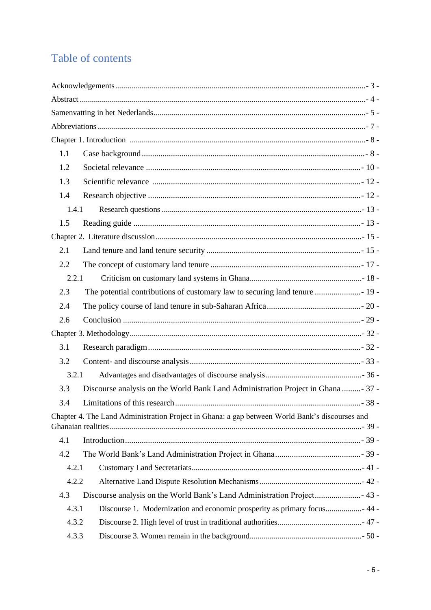# Table of contents

| 1.1 |                                                                                                |  |
|-----|------------------------------------------------------------------------------------------------|--|
| 1.2 |                                                                                                |  |
| 1.3 |                                                                                                |  |
| 1.4 |                                                                                                |  |
|     | 1.4.1                                                                                          |  |
| 1.5 |                                                                                                |  |
|     |                                                                                                |  |
| 2.1 |                                                                                                |  |
| 2.2 |                                                                                                |  |
|     | 2.2.1                                                                                          |  |
| 2.3 |                                                                                                |  |
| 2.4 |                                                                                                |  |
| 2.6 |                                                                                                |  |
|     |                                                                                                |  |
| 3.1 |                                                                                                |  |
| 3.2 |                                                                                                |  |
|     | 3.2.1                                                                                          |  |
| 3.3 | Discourse analysis on the World Bank Land Administration Project in Ghana  37 -                |  |
| 3.4 |                                                                                                |  |
|     | Chapter 4. The Land Administration Project in Ghana: a gap between World Bank's discourses and |  |
| 4.1 |                                                                                                |  |
| 4.2 |                                                                                                |  |
|     | 4.2.1                                                                                          |  |
|     | 4.2.2                                                                                          |  |
| 4.3 | Discourse analysis on the World Bank's Land Administration Project 43 -                        |  |
|     | 4.3.1                                                                                          |  |
|     | 4.3.2                                                                                          |  |
|     | 4.3.3                                                                                          |  |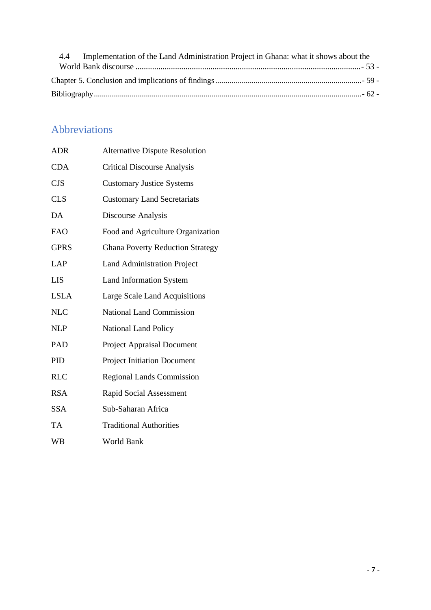| 4.4 Implementation of the Land Administration Project in Ghana: what it shows about the |  |
|-----------------------------------------------------------------------------------------|--|
|                                                                                         |  |
|                                                                                         |  |
|                                                                                         |  |

# <span id="page-6-0"></span>Abbreviations

| <b>ADR</b>  | <b>Alternative Dispute Resolution</b>   |
|-------------|-----------------------------------------|
| <b>CDA</b>  | <b>Critical Discourse Analysis</b>      |
| <b>CJS</b>  | <b>Customary Justice Systems</b>        |
| <b>CLS</b>  | <b>Customary Land Secretariats</b>      |
| DA          | Discourse Analysis                      |
| <b>FAO</b>  | Food and Agriculture Organization       |
| <b>GPRS</b> | <b>Ghana Poverty Reduction Strategy</b> |
| <b>LAP</b>  | <b>Land Administration Project</b>      |
| <b>LIS</b>  | <b>Land Information System</b>          |
| <b>LSLA</b> | Large Scale Land Acquisitions           |
| <b>NLC</b>  | <b>National Land Commission</b>         |
| <b>NLP</b>  | <b>National Land Policy</b>             |
| PAD         | <b>Project Appraisal Document</b>       |
| PID         | <b>Project Initiation Document</b>      |
| <b>RLC</b>  | <b>Regional Lands Commission</b>        |
| <b>RSA</b>  | <b>Rapid Social Assessment</b>          |
| <b>SSA</b>  | Sub-Saharan Africa                      |
| TA          | <b>Traditional Authorities</b>          |
| <b>WB</b>   | <b>World Bank</b>                       |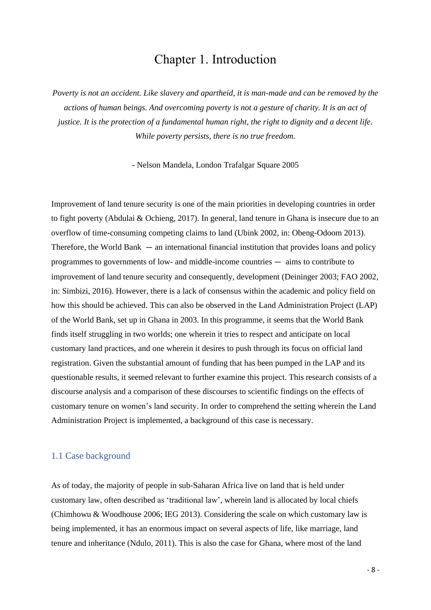## Chapter 1. Introduction

<span id="page-7-0"></span>*Poverty is not an accident. Like slavery and apartheid, it is man-made and can be removed by the actions of human beings. And overcoming poverty is not a gesture of charity. It is an act of justice. It is the protection of a fundamental human right, the right to dignity and a decent life. While poverty persists, there is no true freedom.*

- Nelson Mandela, London Trafalgar Square 2005

Improvement of land tenure security is one of the main priorities in developing countries in order to fight poverty (Abdulai & Ochieng, 2017). In general, land tenure in Ghana is insecure due to an overflow of time-consuming competing claims to land (Ubink 2002, in: Obeng-Odoom 2013). Therefore, the World Bank — an international financial institution that provides loans and policy programmes to governments of low- and middle-income countries — aims to contribute to improvement of land tenure security and consequently, development (Deininger 2003; FAO 2002, in: Simbizi, 2016). However, there is a lack of consensus within the academic and policy field on how this should be achieved. This can also be observed in the Land Administration Project (LAP) of the World Bank, set up in Ghana in 2003. In this programme, it seems that the World Bank finds itself struggling in two worlds; one wherein it tries to respect and anticipate on local customary land practices, and one wherein it desires to push through its focus on official land registration. Given the substantial amount of funding that has been pumped in the LAP and its questionable results, it seemed relevant to further examine this project. This research consists of a discourse analysis and a comparison of these discourses to scientific findings on the effects of customary tenure on women's land security. In order to comprehend the setting wherein the Land Administration Project is implemented, a background of this case is necessary.

## <span id="page-7-1"></span>1.1 Case background

As of today, the majority of people in sub-Saharan Africa live on land that is held under customary law, often described as 'traditional law', wherein land is allocated by local chiefs (Chimhowu & Woodhouse 2006; IEG 2013). Considering the scale on which customary law is being implemented, it has an enormous impact on several aspects of life, like marriage, land tenure and inheritance (Ndulo, 2011). This is also the case for Ghana, where most of the land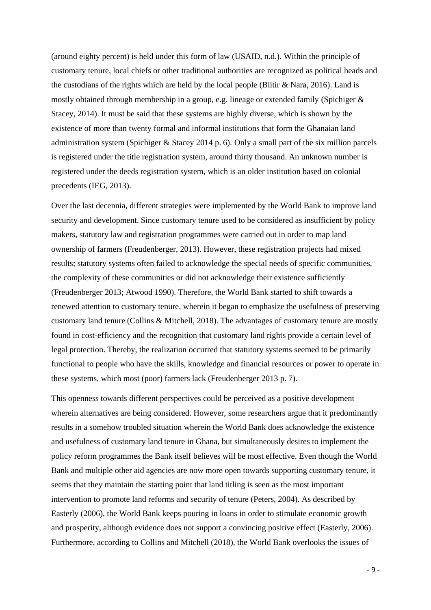(around eighty percent) is held under this form of law (USAID, n.d.). Within the principle of customary tenure, local chiefs or other traditional authorities are recognized as political heads and the custodians of the rights which are held by the local people (Biitir  $\&$  Nara, 2016). Land is mostly obtained through membership in a group, e.g. lineage or extended family (Spichiger & Stacey, 2014). It must be said that these systems are highly diverse, which is shown by the existence of more than twenty formal and informal institutions that form the Ghanaian land administration system (Spichiger & Stacey 2014 p. 6). Only a small part of the six million parcels is registered under the title registration system, around thirty thousand. An unknown number is registered under the deeds registration system, which is an older institution based on colonial precedents (IEG, 2013).

Over the last decennia, different strategies were implemented by the World Bank to improve land security and development. Since customary tenure used to be considered as insufficient by policy makers, statutory law and registration programmes were carried out in order to map land ownership of farmers (Freudenberger, 2013). However, these registration projects had mixed results; statutory systems often failed to acknowledge the special needs of specific communities, the complexity of these communities or did not acknowledge their existence sufficiently (Freudenberger 2013; Atwood 1990). Therefore, the World Bank started to shift towards a renewed attention to customary tenure, wherein it began to emphasize the usefulness of preserving customary land tenure (Collins & Mitchell, 2018). The advantages of customary tenure are mostly found in cost-efficiency and the recognition that customary land rights provide a certain level of legal protection. Thereby, the realization occurred that statutory systems seemed to be primarily functional to people who have the skills, knowledge and financial resources or power to operate in these systems, which most (poor) farmers lack (Freudenberger 2013 p. 7).

This openness towards different perspectives could be perceived as a positive development wherein alternatives are being considered. However, some researchers argue that it predominantly results in a somehow troubled situation wherein the World Bank does acknowledge the existence and usefulness of customary land tenure in Ghana, but simultaneously desires to implement the policy reform programmes the Bank itself believes will be most effective. Even though the World Bank and multiple other aid agencies are now more open towards supporting customary tenure, it seems that they maintain the starting point that land titling is seen as the most important intervention to promote land reforms and security of tenure (Peters, 2004). As described by Easterly (2006), the World Bank keeps pouring in loans in order to stimulate economic growth and prosperity, although evidence does not support a convincing positive effect (Easterly, 2006). Furthermore, according to Collins and Mitchell (2018), the World Bank overlooks the issues of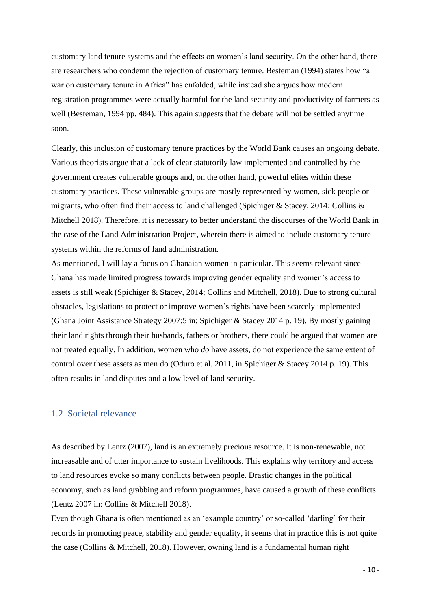customary land tenure systems and the effects on women's land security. On the other hand, there are researchers who condemn the rejection of customary tenure. Besteman (1994) states how "a war on customary tenure in Africa" has enfolded, while instead she argues how modern registration programmes were actually harmful for the land security and productivity of farmers as well (Besteman, 1994 pp. 484). This again suggests that the debate will not be settled anytime soon.

Clearly, this inclusion of customary tenure practices by the World Bank causes an ongoing debate. Various theorists argue that a lack of clear statutorily law implemented and controlled by the government creates vulnerable groups and, on the other hand, powerful elites within these customary practices. These vulnerable groups are mostly represented by women, sick people or migrants, who often find their access to land challenged (Spichiger & Stacey, 2014; Collins & Mitchell 2018). Therefore, it is necessary to better understand the discourses of the World Bank in the case of the Land Administration Project, wherein there is aimed to include customary tenure systems within the reforms of land administration.

As mentioned, I will lay a focus on Ghanaian women in particular. This seems relevant since Ghana has made limited progress towards improving gender equality and women's access to assets is still weak (Spichiger & Stacey, 2014; Collins and Mitchell, 2018). Due to strong cultural obstacles, legislations to protect or improve women's rights have been scarcely implemented (Ghana Joint Assistance Strategy 2007:5 in: Spichiger & Stacey 2014 p. 19). By mostly gaining their land rights through their husbands, fathers or brothers, there could be argued that women are not treated equally. In addition, women who *do* have assets, do not experience the same extent of control over these assets as men do (Oduro et al. 2011, in Spichiger & Stacey 2014 p. 19). This often results in land disputes and a low level of land security.

### <span id="page-9-0"></span>1.2 Societal relevance

As described by Lentz (2007), land is an extremely precious resource. It is non-renewable, not increasable and of utter importance to sustain livelihoods. This explains why territory and access to land resources evoke so many conflicts between people. Drastic changes in the political economy, such as land grabbing and reform programmes, have caused a growth of these conflicts (Lentz 2007 in: Collins & Mitchell 2018).

Even though Ghana is often mentioned as an 'example country' or so-called 'darling' for their records in promoting peace, stability and gender equality, it seems that in practice this is not quite the case (Collins & Mitchell, 2018). However, owning land is a fundamental human right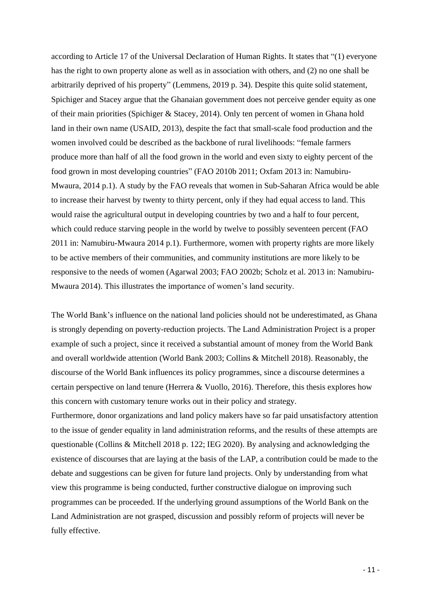according to Article 17 of the Universal Declaration of Human Rights. It states that "(1) everyone has the right to own property alone as well as in association with others, and (2) no one shall be arbitrarily deprived of his property" (Lemmens, 2019 p. 34). Despite this quite solid statement, Spichiger and Stacey argue that the Ghanaian government does not perceive gender equity as one of their main priorities (Spichiger & Stacey, 2014). Only ten percent of women in Ghana hold land in their own name (USAID, 2013), despite the fact that small-scale food production and the women involved could be described as the backbone of rural livelihoods: "female farmers produce more than half of all the food grown in the world and even sixty to eighty percent of the food grown in most developing countries" (FAO 2010b 2011; Oxfam 2013 in: Namubiru-Mwaura, 2014 p.1). A study by the FAO reveals that women in Sub-Saharan Africa would be able to increase their harvest by twenty to thirty percent, only if they had equal access to land. This would raise the agricultural output in developing countries by two and a half to four percent, which could reduce starving people in the world by twelve to possibly seventeen percent (FAO 2011 in: Namubiru-Mwaura 2014 p.1). Furthermore, women with property rights are more likely to be active members of their communities, and community institutions are more likely to be responsive to the needs of women (Agarwal 2003; FAO 2002b; Scholz et al. 2013 in: Namubiru-Mwaura 2014). This illustrates the importance of women's land security.

The World Bank's influence on the national land policies should not be underestimated, as Ghana is strongly depending on poverty-reduction projects. The Land Administration Project is a proper example of such a project, since it received a substantial amount of money from the World Bank and overall worldwide attention (World Bank 2003; Collins & Mitchell 2018). Reasonably, the discourse of the World Bank influences its policy programmes, since a discourse determines a certain perspective on land tenure (Herrera & Vuollo, 2016). Therefore, this thesis explores how this concern with customary tenure works out in their policy and strategy.

Furthermore, donor organizations and land policy makers have so far paid unsatisfactory attention to the issue of gender equality in land administration reforms, and the results of these attempts are questionable (Collins & Mitchell 2018 p. 122; IEG 2020). By analysing and acknowledging the existence of discourses that are laying at the basis of the LAP, a contribution could be made to the debate and suggestions can be given for future land projects. Only by understanding from what view this programme is being conducted, further constructive dialogue on improving such programmes can be proceeded. If the underlying ground assumptions of the World Bank on the Land Administration are not grasped, discussion and possibly reform of projects will never be fully effective.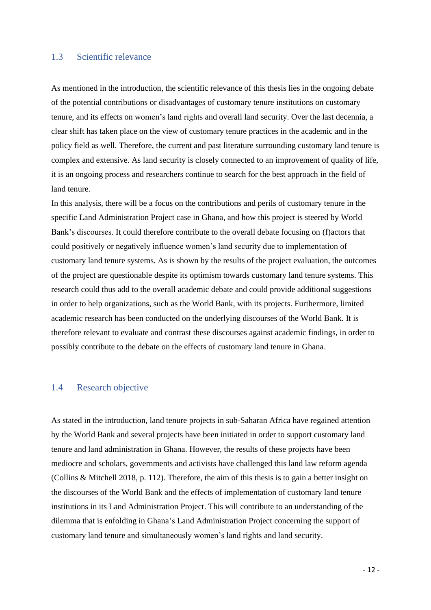## <span id="page-11-0"></span>1.3 Scientific relevance

As mentioned in the introduction, the scientific relevance of this thesis lies in the ongoing debate of the potential contributions or disadvantages of customary tenure institutions on customary tenure, and its effects on women's land rights and overall land security. Over the last decennia, a clear shift has taken place on the view of customary tenure practices in the academic and in the policy field as well. Therefore, the current and past literature surrounding customary land tenure is complex and extensive. As land security is closely connected to an improvement of quality of life, it is an ongoing process and researchers continue to search for the best approach in the field of land tenure.

In this analysis, there will be a focus on the contributions and perils of customary tenure in the specific Land Administration Project case in Ghana, and how this project is steered by World Bank's discourses. It could therefore contribute to the overall debate focusing on (f)actors that could positively or negatively influence women's land security due to implementation of customary land tenure systems. As is shown by the results of the project evaluation, the outcomes of the project are questionable despite its optimism towards customary land tenure systems. This research could thus add to the overall academic debate and could provide additional suggestions in order to help organizations, such as the World Bank, with its projects. Furthermore, limited academic research has been conducted on the underlying discourses of the World Bank. It is therefore relevant to evaluate and contrast these discourses against academic findings, in order to possibly contribute to the debate on the effects of customary land tenure in Ghana.

### <span id="page-11-1"></span>1.4 Research objective

As stated in the introduction, land tenure projects in sub-Saharan Africa have regained attention by the World Bank and several projects have been initiated in order to support customary land tenure and land administration in Ghana. However, the results of these projects have been mediocre and scholars, governments and activists have challenged this land law reform agenda (Collins & Mitchell 2018, p. 112). Therefore, the aim of this thesis is to gain a better insight on the discourses of the World Bank and the effects of implementation of customary land tenure institutions in its Land Administration Project. This will contribute to an understanding of the dilemma that is enfolding in Ghana's Land Administration Project concerning the support of customary land tenure and simultaneously women's land rights and land security.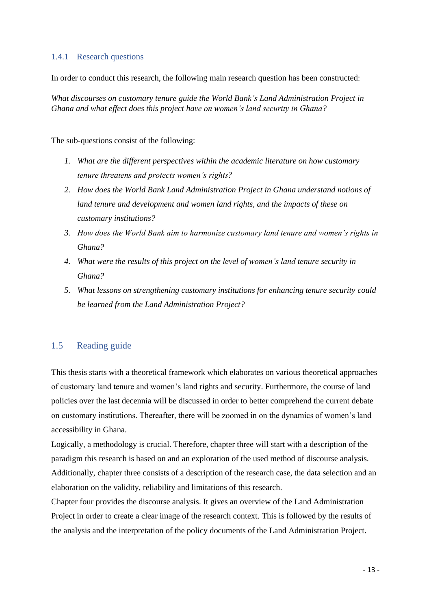## <span id="page-12-0"></span>1.4.1 Research questions

In order to conduct this research, the following main research question has been constructed:

*What discourses on customary tenure guide the World Bank's Land Administration Project in Ghana and what effect does this project have on women's land security in Ghana?* 

The sub-questions consist of the following:

- *1. What are the different perspectives within the academic literature on how customary tenure threatens and protects women's rights?*
- *2. How does the World Bank Land Administration Project in Ghana understand notions of land tenure and development and women land rights, and the impacts of these on customary institutions?*
- *3. How does the World Bank aim to harmonize customary land tenure and women's rights in Ghana?*
- *4. What were the results of this project on the level of women's land tenure security in Ghana?*
- *5. What lessons on strengthening customary institutions for enhancing tenure security could be learned from the Land Administration Project?*

## <span id="page-12-1"></span>1.5 Reading guide

This thesis starts with a theoretical framework which elaborates on various theoretical approaches of customary land tenure and women's land rights and security. Furthermore, the course of land policies over the last decennia will be discussed in order to better comprehend the current debate on customary institutions. Thereafter, there will be zoomed in on the dynamics of women's land accessibility in Ghana.

Logically, a methodology is crucial. Therefore, chapter three will start with a description of the paradigm this research is based on and an exploration of the used method of discourse analysis. Additionally, chapter three consists of a description of the research case, the data selection and an elaboration on the validity, reliability and limitations of this research.

Chapter four provides the discourse analysis. It gives an overview of the Land Administration Project in order to create a clear image of the research context. This is followed by the results of the analysis and the interpretation of the policy documents of the Land Administration Project.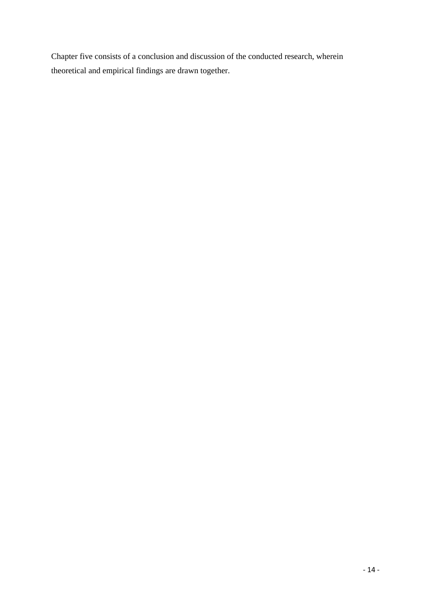Chapter five consists of a conclusion and discussion of the conducted research, wherein theoretical and empirical findings are drawn together.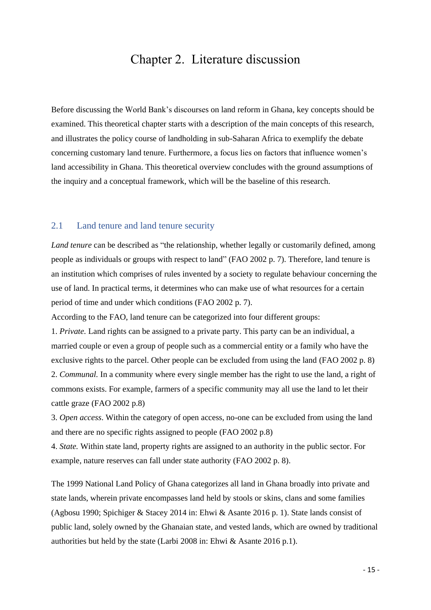## Chapter 2. Literature discussion

<span id="page-14-0"></span>Before discussing the World Bank's discourses on land reform in Ghana, key concepts should be examined. This theoretical chapter starts with a description of the main concepts of this research, and illustrates the policy course of landholding in sub-Saharan Africa to exemplify the debate concerning customary land tenure. Furthermore, a focus lies on factors that influence women's land accessibility in Ghana. This theoretical overview concludes with the ground assumptions of the inquiry and a conceptual framework, which will be the baseline of this research.

### <span id="page-14-1"></span>2.1 Land tenure and land tenure security

*Land tenure* can be described as "the relationship, whether legally or customarily defined, among people as individuals or groups with respect to land" (FAO 2002 p. 7). Therefore, land tenure is an institution which comprises of rules invented by a society to regulate behaviour concerning the use of land. In practical terms, it determines who can make use of what resources for a certain period of time and under which conditions (FAO 2002 p. 7).

According to the FAO, land tenure can be categorized into four different groups:

1. *Private.* Land rights can be assigned to a private party. This party can be an individual, a married couple or even a group of people such as a commercial entity or a family who have the exclusive rights to the parcel. Other people can be excluded from using the land (FAO 2002 p. 8) 2. *Communal.* In a community where every single member has the right to use the land, a right of commons exists. For example, farmers of a specific community may all use the land to let their cattle graze (FAO 2002 p.8)

3. *Open access*. Within the category of open access, no-one can be excluded from using the land and there are no specific rights assigned to people (FAO 2002 p.8)

4. *State.* Within state land, property rights are assigned to an authority in the public sector. For example, nature reserves can fall under state authority (FAO 2002 p. 8).

The 1999 National Land Policy of Ghana categorizes all land in Ghana broadly into private and state lands, wherein private encompasses land held by stools or skins, clans and some families (Agbosu 1990; Spichiger & Stacey 2014 in: Ehwi & Asante 2016 p. 1). State lands consist of public land, solely owned by the Ghanaian state, and vested lands, which are owned by traditional authorities but held by the state (Larbi 2008 in: Ehwi & Asante 2016 p.1).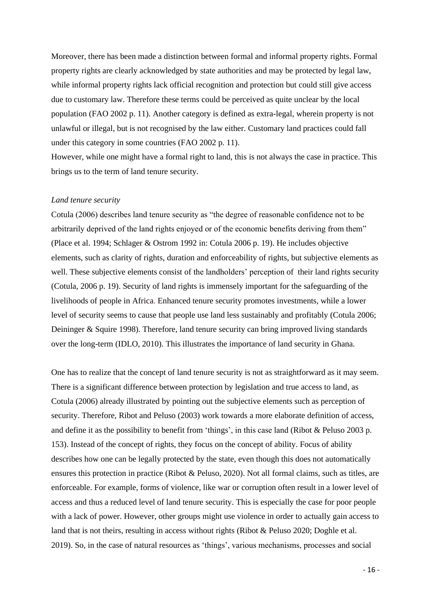Moreover, there has been made a distinction between formal and informal property rights. Formal property rights are clearly acknowledged by state authorities and may be protected by legal law, while informal property rights lack official recognition and protection but could still give access due to customary law. Therefore these terms could be perceived as quite unclear by the local population (FAO 2002 p. 11). Another category is defined as extra-legal, wherein property is not unlawful or illegal, but is not recognised by the law either. Customary land practices could fall under this category in some countries (FAO 2002 p. 11).

However, while one might have a formal right to land, this is not always the case in practice. This brings us to the term of land tenure security.

#### *Land tenure security*

Cotula (2006) describes land tenure security as "the degree of reasonable confidence not to be arbitrarily deprived of the land rights enjoyed or of the economic benefits deriving from them" (Place et al. 1994; Schlager & Ostrom 1992 in: Cotula 2006 p. 19). He includes objective elements, such as clarity of rights, duration and enforceability of rights, but subjective elements as well. These subjective elements consist of the landholders' perception of their land rights security (Cotula, 2006 p. 19). Security of land rights is immensely important for the safeguarding of the livelihoods of people in Africa. Enhanced tenure security promotes investments, while a lower level of security seems to cause that people use land less sustainably and profitably (Cotula 2006; Deininger & Squire 1998). Therefore, land tenure security can bring improved living standards over the long-term (IDLO, 2010). This illustrates the importance of land security in Ghana.

One has to realize that the concept of land tenure security is not as straightforward as it may seem. There is a significant difference between protection by legislation and true access to land, as Cotula (2006) already illustrated by pointing out the subjective elements such as perception of security. Therefore, Ribot and Peluso (2003) work towards a more elaborate definition of access, and define it as the possibility to benefit from 'things', in this case land (Ribot & Peluso 2003 p. 153). Instead of the concept of rights, they focus on the concept of ability. Focus of ability describes how one can be legally protected by the state, even though this does not automatically ensures this protection in practice (Ribot & Peluso, 2020). Not all formal claims, such as titles, are enforceable. For example, forms of violence, like war or corruption often result in a lower level of access and thus a reduced level of land tenure security. This is especially the case for poor people with a lack of power. However, other groups might use violence in order to actually gain access to land that is not theirs, resulting in access without rights (Ribot & Peluso 2020; Doghle et al. 2019). So, in the case of natural resources as 'things', various mechanisms, processes and social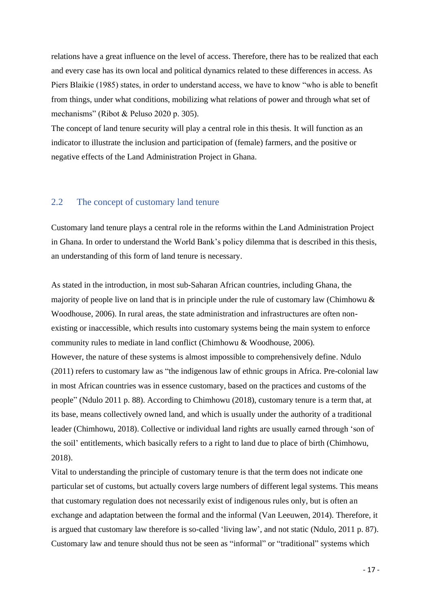relations have a great influence on the level of access. Therefore, there has to be realized that each and every case has its own local and political dynamics related to these differences in access. As Piers Blaikie (1985) states, in order to understand access, we have to know "who is able to benefit from things, under what conditions, mobilizing what relations of power and through what set of mechanisms" (Ribot & Peluso 2020 p. 305).

The concept of land tenure security will play a central role in this thesis. It will function as an indicator to illustrate the inclusion and participation of (female) farmers, and the positive or negative effects of the Land Administration Project in Ghana.

## <span id="page-16-0"></span>2.2 The concept of customary land tenure

Customary land tenure plays a central role in the reforms within the Land Administration Project in Ghana. In order to understand the World Bank's policy dilemma that is described in this thesis, an understanding of this form of land tenure is necessary.

As stated in the introduction, in most sub-Saharan African countries, including Ghana, the majority of people live on land that is in principle under the rule of customary law (Chimhowu & Woodhouse, 2006). In rural areas, the state administration and infrastructures are often nonexisting or inaccessible, which results into customary systems being the main system to enforce community rules to mediate in land conflict (Chimhowu & Woodhouse, 2006). However, the nature of these systems is almost impossible to comprehensively define. Ndulo (2011) refers to customary law as "the indigenous law of ethnic groups in Africa. Pre-colonial law in most African countries was in essence customary, based on the practices and customs of the people" (Ndulo 2011 p. 88). According to Chimhowu (2018), customary tenure is a term that, at its base, means collectively owned land, and which is usually under the authority of a traditional leader (Chimhowu, 2018). Collective or individual land rights are usually earned through 'son of the soil' entitlements, which basically refers to a right to land due to place of birth (Chimhowu, 2018).

Vital to understanding the principle of customary tenure is that the term does not indicate one particular set of customs, but actually covers large numbers of different legal systems. This means that customary regulation does not necessarily exist of indigenous rules only, but is often an exchange and adaptation between the formal and the informal (Van Leeuwen, 2014). Therefore, it is argued that customary law therefore is so-called 'living law', and not static (Ndulo, 2011 p. 87). Customary law and tenure should thus not be seen as "informal" or "traditional" systems which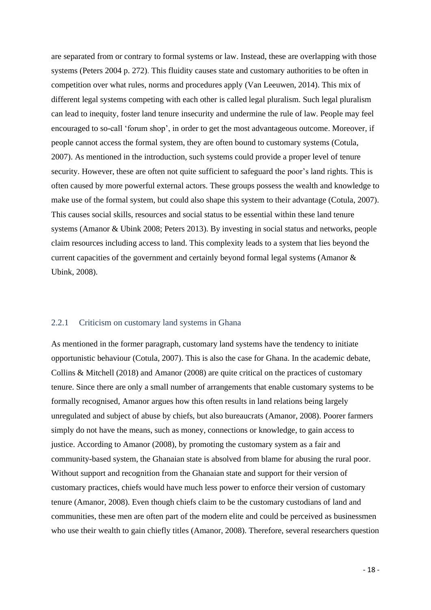are separated from or contrary to formal systems or law. Instead, these are overlapping with those systems (Peters 2004 p. 272). This fluidity causes state and customary authorities to be often in competition over what rules, norms and procedures apply (Van Leeuwen, 2014). This mix of different legal systems competing with each other is called legal pluralism. Such legal pluralism can lead to inequity, foster land tenure insecurity and undermine the rule of law. People may feel encouraged to so-call 'forum shop', in order to get the most advantageous outcome. Moreover, if people cannot access the formal system, they are often bound to customary systems (Cotula, 2007). As mentioned in the introduction, such systems could provide a proper level of tenure security. However, these are often not quite sufficient to safeguard the poor's land rights. This is often caused by more powerful external actors. These groups possess the wealth and knowledge to make use of the formal system, but could also shape this system to their advantage (Cotula, 2007). This causes social skills, resources and social status to be essential within these land tenure systems (Amanor & Ubink 2008; Peters 2013). By investing in social status and networks, people claim resources including access to land. This complexity leads to a system that lies beyond the current capacities of the government and certainly beyond formal legal systems (Amanor & Ubink, 2008).

## <span id="page-17-0"></span>2.2.1 Criticism on customary land systems in Ghana

As mentioned in the former paragraph, customary land systems have the tendency to initiate opportunistic behaviour (Cotula, 2007). This is also the case for Ghana. In the academic debate, Collins & Mitchell (2018) and Amanor (2008) are quite critical on the practices of customary tenure. Since there are only a small number of arrangements that enable customary systems to be formally recognised, Amanor argues how this often results in land relations being largely unregulated and subject of abuse by chiefs, but also bureaucrats (Amanor, 2008). Poorer farmers simply do not have the means, such as money, connections or knowledge, to gain access to justice. According to Amanor (2008), by promoting the customary system as a fair and community-based system, the Ghanaian state is absolved from blame for abusing the rural poor. Without support and recognition from the Ghanaian state and support for their version of customary practices, chiefs would have much less power to enforce their version of customary tenure (Amanor, 2008). Even though chiefs claim to be the customary custodians of land and communities, these men are often part of the modern elite and could be perceived as businessmen who use their wealth to gain chiefly titles (Amanor, 2008). Therefore, several researchers question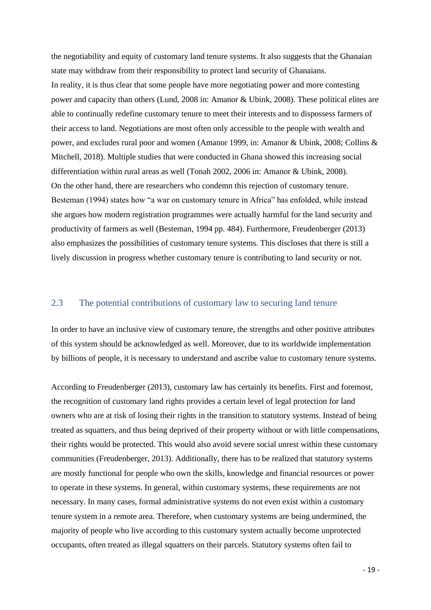the negotiability and equity of customary land tenure systems. It also suggests that the Ghanaian state may withdraw from their responsibility to protect land security of Ghanaians. In reality, it is thus clear that some people have more negotiating power and more contesting power and capacity than others (Lund, 2008 in: Amanor & Ubink, 2008). These political elites are able to continually redefine customary tenure to meet their interests and to dispossess farmers of their access to land. Negotiations are most often only accessible to the people with wealth and power, and excludes rural poor and women (Amanor 1999, in: Amanor & Ubink, 2008; Collins & Mitchell, 2018). Multiple studies that were conducted in Ghana showed this increasing social differentiation within rural areas as well (Tonah 2002, 2006 in: Amanor & Ubink, 2008). On the other hand, there are researchers who condemn this rejection of customary tenure. Besteman (1994) states how "a war on customary tenure in Africa" has enfolded, while instead she argues how modern registration programmes were actually harmful for the land security and productivity of farmers as well (Besteman, 1994 pp. 484). Furthermore, Freudenberger (2013) also emphasizes the possibilities of customary tenure systems. This discloses that there is still a lively discussion in progress whether customary tenure is contributing to land security or not.

### <span id="page-18-0"></span>2.3 The potential contributions of customary law to securing land tenure

In order to have an inclusive view of customary tenure, the strengths and other positive attributes of this system should be acknowledged as well. Moreover, due to its worldwide implementation by billions of people, it is necessary to understand and ascribe value to customary tenure systems.

According to Freudenberger (2013), customary law has certainly its benefits. First and foremost, the recognition of customary land rights provides a certain level of legal protection for land owners who are at risk of losing their rights in the transition to statutory systems. Instead of being treated as squatters, and thus being deprived of their property without or with little compensations, their rights would be protected. This would also avoid severe social unrest within these customary communities (Freudenberger, 2013). Additionally, there has to be realized that statutory systems are mostly functional for people who own the skills, knowledge and financial resources or power to operate in these systems. In general, within customary systems, these requirements are not necessary. In many cases, formal administrative systems do not even exist within a customary tenure system in a remote area. Therefore, when customary systems are being undermined, the majority of people who live according to this customary system actually become unprotected occupants, often treated as illegal squatters on their parcels. Statutory systems often fail to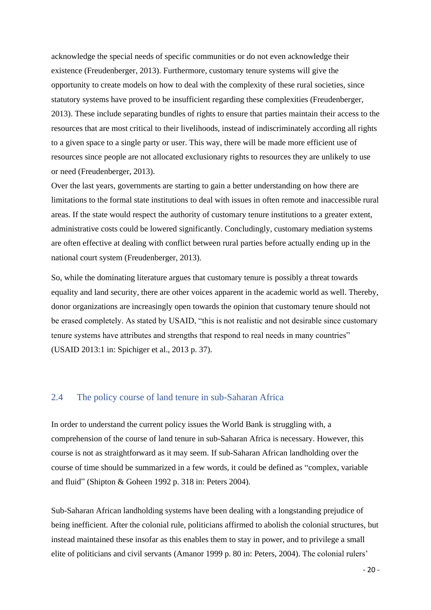acknowledge the special needs of specific communities or do not even acknowledge their existence (Freudenberger, 2013). Furthermore, customary tenure systems will give the opportunity to create models on how to deal with the complexity of these rural societies, since statutory systems have proved to be insufficient regarding these complexities (Freudenberger, 2013). These include separating bundles of rights to ensure that parties maintain their access to the resources that are most critical to their livelihoods, instead of indiscriminately according all rights to a given space to a single party or user. This way, there will be made more efficient use of resources since people are not allocated exclusionary rights to resources they are unlikely to use or need (Freudenberger, 2013).

Over the last years, governments are starting to gain a better understanding on how there are limitations to the formal state institutions to deal with issues in often remote and inaccessible rural areas. If the state would respect the authority of customary tenure institutions to a greater extent, administrative costs could be lowered significantly. Concludingly, customary mediation systems are often effective at dealing with conflict between rural parties before actually ending up in the national court system (Freudenberger, 2013).

So, while the dominating literature argues that customary tenure is possibly a threat towards equality and land security, there are other voices apparent in the academic world as well. Thereby, donor organizations are increasingly open towards the opinion that customary tenure should not be erased completely. As stated by USAID, "this is not realistic and not desirable since customary tenure systems have attributes and strengths that respond to real needs in many countries" (USAID 2013:1 in: Spichiger et al., 2013 p. 37).

### <span id="page-19-0"></span>2.4 The policy course of land tenure in sub-Saharan Africa

In order to understand the current policy issues the World Bank is struggling with, a comprehension of the course of land tenure in sub-Saharan Africa is necessary. However, this course is not as straightforward as it may seem. If sub-Saharan African landholding over the course of time should be summarized in a few words, it could be defined as "complex, variable and fluid" (Shipton & Goheen 1992 p. 318 in: Peters 2004).

Sub-Saharan African landholding systems have been dealing with a longstanding prejudice of being inefficient. After the colonial rule, politicians affirmed to abolish the colonial structures, but instead maintained these insofar as this enables them to stay in power, and to privilege a small elite of politicians and civil servants (Amanor 1999 p. 80 in: Peters, 2004). The colonial rulers'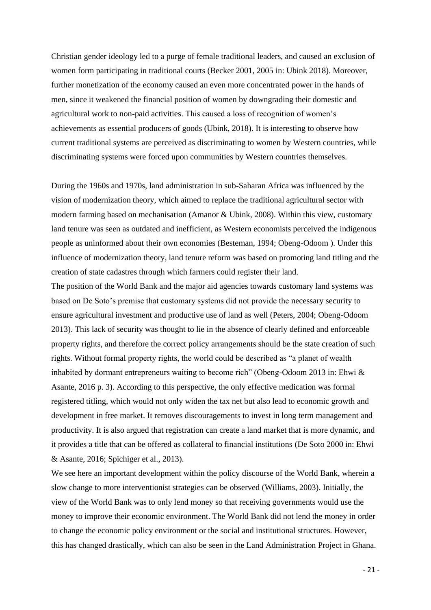Christian gender ideology led to a purge of female traditional leaders, and caused an exclusion of women form participating in traditional courts (Becker 2001, 2005 in: Ubink 2018). Moreover, further monetization of the economy caused an even more concentrated power in the hands of men, since it weakened the financial position of women by downgrading their domestic and agricultural work to non-paid activities. This caused a loss of recognition of women's achievements as essential producers of goods (Ubink, 2018). It is interesting to observe how current traditional systems are perceived as discriminating to women by Western countries, while discriminating systems were forced upon communities by Western countries themselves.

During the 1960s and 1970s, land administration in sub-Saharan Africa was influenced by the vision of modernization theory, which aimed to replace the traditional agricultural sector with modern farming based on mechanisation (Amanor & Ubink, 2008). Within this view, customary land tenure was seen as outdated and inefficient, as Western economists perceived the indigenous people as uninformed about their own economies (Besteman, 1994; Obeng-Odoom ). Under this influence of modernization theory, land tenure reform was based on promoting land titling and the creation of state cadastres through which farmers could register their land.

The position of the World Bank and the major aid agencies towards customary land systems was based on De Soto's premise that customary systems did not provide the necessary security to ensure agricultural investment and productive use of land as well (Peters, 2004; Obeng-Odoom 2013). This lack of security was thought to lie in the absence of clearly defined and enforceable property rights, and therefore the correct policy arrangements should be the state creation of such rights. Without formal property rights, the world could be described as "a planet of wealth inhabited by dormant entrepreneurs waiting to become rich" (Obeng-Odoom 2013 in: Ehwi & Asante, 2016 p. 3). According to this perspective, the only effective medication was formal registered titling, which would not only widen the tax net but also lead to economic growth and development in free market. It removes discouragements to invest in long term management and productivity. It is also argued that registration can create a land market that is more dynamic, and it provides a title that can be offered as collateral to financial institutions (De Soto 2000 in: Ehwi & Asante, 2016; Spichiger et al., 2013).

We see here an important development within the policy discourse of the World Bank, wherein a slow change to more interventionist strategies can be observed (Williams, 2003). Initially, the view of the World Bank was to only lend money so that receiving governments would use the money to improve their economic environment. The World Bank did not lend the money in order to change the economic policy environment or the social and institutional structures. However, this has changed drastically, which can also be seen in the Land Administration Project in Ghana.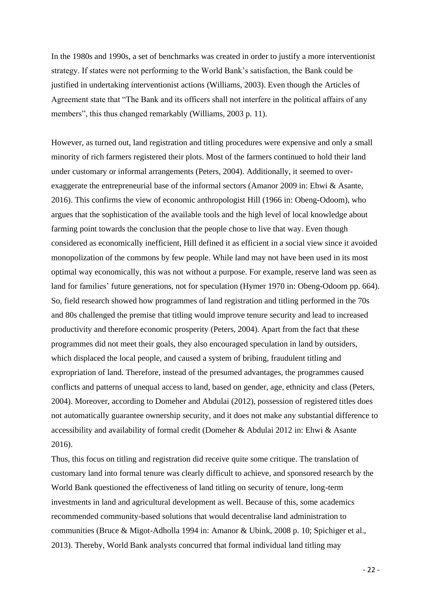In the 1980s and 1990s, a set of benchmarks was created in order to justify a more interventionist strategy. If states were not performing to the World Bank's satisfaction, the Bank could be justified in undertaking interventionist actions (Williams, 2003). Even though the Articles of Agreement state that "The Bank and its officers shall not interfere in the political affairs of any members", this thus changed remarkably (Williams, 2003 p. 11).

However, as turned out, land registration and titling procedures were expensive and only a small minority of rich farmers registered their plots. Most of the farmers continued to hold their land under customary or informal arrangements (Peters, 2004). Additionally, it seemed to overexaggerate the entrepreneurial base of the informal sectors (Amanor 2009 in: Ehwi & Asante, 2016). This confirms the view of economic anthropologist Hill (1966 in: Obeng-Odoom), who argues that the sophistication of the available tools and the high level of local knowledge about farming point towards the conclusion that the people chose to live that way. Even though considered as economically inefficient, Hill defined it as efficient in a social view since it avoided monopolization of the commons by few people. While land may not have been used in its most optimal way economically, this was not without a purpose. For example, reserve land was seen as land for families' future generations, not for speculation (Hymer 1970 in: Obeng-Odoom pp. 664). So, field research showed how programmes of land registration and titling performed in the 70s and 80s challenged the premise that titling would improve tenure security and lead to increased productivity and therefore economic prosperity (Peters, 2004). Apart from the fact that these programmes did not meet their goals, they also encouraged speculation in land by outsiders, which displaced the local people, and caused a system of bribing, fraudulent titling and expropriation of land. Therefore, instead of the presumed advantages, the programmes caused conflicts and patterns of unequal access to land, based on gender, age, ethnicity and class (Peters, 2004). Moreover, according to Domeher and Abdulai (2012), possession of registered titles does not automatically guarantee ownership security, and it does not make any substantial difference to accessibility and availability of formal credit (Domeher & Abdulai 2012 in: Ehwi & Asante 2016).

Thus, this focus on titling and registration did receive quite some critique. The translation of customary land into formal tenure was clearly difficult to achieve, and sponsored research by the World Bank questioned the effectiveness of land titling on security of tenure, long-term investments in land and agricultural development as well. Because of this, some academics recommended community-based solutions that would decentralise land administration to communities (Bruce & Migot-Adholla 1994 in: Amanor & Ubink, 2008 p. 10; Spichiger et al., 2013). Thereby, World Bank analysts concurred that formal individual land titling may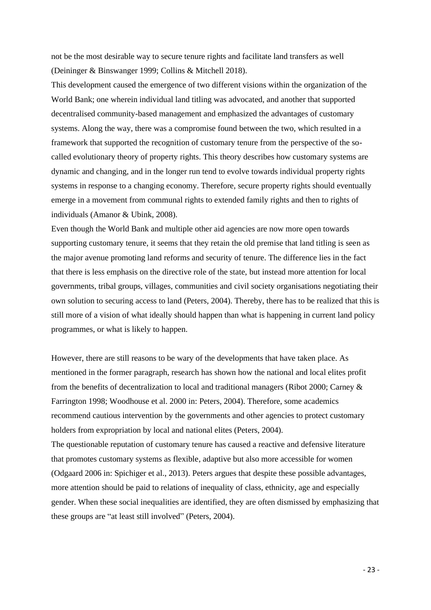not be the most desirable way to secure tenure rights and facilitate land transfers as well (Deininger & Binswanger 1999; Collins & Mitchell 2018).

This development caused the emergence of two different visions within the organization of the World Bank; one wherein individual land titling was advocated, and another that supported decentralised community-based management and emphasized the advantages of customary systems. Along the way, there was a compromise found between the two, which resulted in a framework that supported the recognition of customary tenure from the perspective of the socalled evolutionary theory of property rights. This theory describes how customary systems are dynamic and changing, and in the longer run tend to evolve towards individual property rights systems in response to a changing economy. Therefore, secure property rights should eventually emerge in a movement from communal rights to extended family rights and then to rights of individuals (Amanor & Ubink, 2008).

Even though the World Bank and multiple other aid agencies are now more open towards supporting customary tenure, it seems that they retain the old premise that land titling is seen as the major avenue promoting land reforms and security of tenure. The difference lies in the fact that there is less emphasis on the directive role of the state, but instead more attention for local governments, tribal groups, villages, communities and civil society organisations negotiating their own solution to securing access to land (Peters, 2004). Thereby, there has to be realized that this is still more of a vision of what ideally should happen than what is happening in current land policy programmes, or what is likely to happen.

However, there are still reasons to be wary of the developments that have taken place. As mentioned in the former paragraph, research has shown how the national and local elites profit from the benefits of decentralization to local and traditional managers (Ribot 2000; Carney & Farrington 1998; Woodhouse et al. 2000 in: Peters, 2004). Therefore, some academics recommend cautious intervention by the governments and other agencies to protect customary holders from expropriation by local and national elites (Peters, 2004). The questionable reputation of customary tenure has caused a reactive and defensive literature that promotes customary systems as flexible, adaptive but also more accessible for women (Odgaard 2006 in: Spichiger et al., 2013). Peters argues that despite these possible advantages, more attention should be paid to relations of inequality of class, ethnicity, age and especially gender. When these social inequalities are identified, they are often dismissed by emphasizing that these groups are "at least still involved" (Peters, 2004).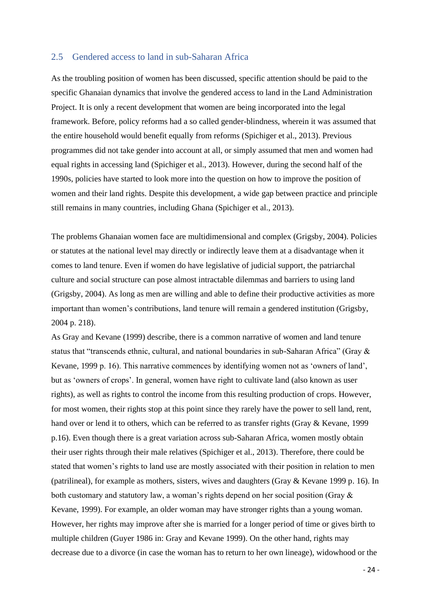### 2.5 Gendered access to land in sub-Saharan Africa

As the troubling position of women has been discussed, specific attention should be paid to the specific Ghanaian dynamics that involve the gendered access to land in the Land Administration Project. It is only a recent development that women are being incorporated into the legal framework. Before, policy reforms had a so called gender-blindness, wherein it was assumed that the entire household would benefit equally from reforms (Spichiger et al., 2013). Previous programmes did not take gender into account at all, or simply assumed that men and women had equal rights in accessing land (Spichiger et al., 2013). However, during the second half of the 1990s, policies have started to look more into the question on how to improve the position of women and their land rights. Despite this development, a wide gap between practice and principle still remains in many countries, including Ghana (Spichiger et al., 2013).

The problems Ghanaian women face are multidimensional and complex (Grigsby, 2004). Policies or statutes at the national level may directly or indirectly leave them at a disadvantage when it comes to land tenure. Even if women do have legislative of judicial support, the patriarchal culture and social structure can pose almost intractable dilemmas and barriers to using land (Grigsby, 2004). As long as men are willing and able to define their productive activities as more important than women's contributions, land tenure will remain a gendered institution (Grigsby, 2004 p. 218).

As Gray and Kevane (1999) describe, there is a common narrative of women and land tenure status that "transcends ethnic, cultural, and national boundaries in sub-Saharan Africa" (Gray & Kevane, 1999 p. 16). This narrative commences by identifying women not as 'owners of land', but as 'owners of crops'. In general, women have right to cultivate land (also known as user rights), as well as rights to control the income from this resulting production of crops. However, for most women, their rights stop at this point since they rarely have the power to sell land, rent, hand over or lend it to others, which can be referred to as transfer rights (Gray & Kevane, 1999 p.16). Even though there is a great variation across sub-Saharan Africa, women mostly obtain their user rights through their male relatives (Spichiger et al., 2013). Therefore, there could be stated that women's rights to land use are mostly associated with their position in relation to men (patrilineal), for example as mothers, sisters, wives and daughters (Gray & Kevane 1999 p. 16). In both customary and statutory law, a woman's rights depend on her social position (Gray & Kevane, 1999). For example, an older woman may have stronger rights than a young woman. However, her rights may improve after she is married for a longer period of time or gives birth to multiple children (Guyer 1986 in: Gray and Kevane 1999). On the other hand, rights may decrease due to a divorce (in case the woman has to return to her own lineage), widowhood or the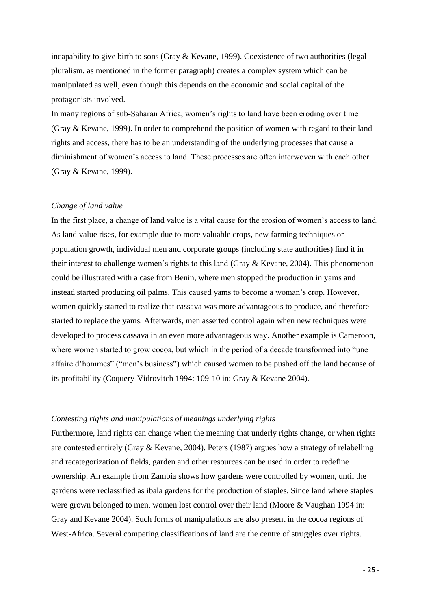incapability to give birth to sons (Gray & Kevane, 1999). Coexistence of two authorities (legal pluralism, as mentioned in the former paragraph) creates a complex system which can be manipulated as well, even though this depends on the economic and social capital of the protagonists involved.

In many regions of sub-Saharan Africa, women's rights to land have been eroding over time (Gray & Kevane, 1999). In order to comprehend the position of women with regard to their land rights and access, there has to be an understanding of the underlying processes that cause a diminishment of women's access to land. These processes are often interwoven with each other (Gray & Kevane, 1999).

### *Change of land value*

In the first place, a change of land value is a vital cause for the erosion of women's access to land. As land value rises, for example due to more valuable crops, new farming techniques or population growth, individual men and corporate groups (including state authorities) find it in their interest to challenge women's rights to this land (Gray & Kevane, 2004). This phenomenon could be illustrated with a case from Benin, where men stopped the production in yams and instead started producing oil palms. This caused yams to become a woman's crop. However, women quickly started to realize that cassava was more advantageous to produce, and therefore started to replace the yams. Afterwards, men asserted control again when new techniques were developed to process cassava in an even more advantageous way. Another example is Cameroon, where women started to grow cocoa, but which in the period of a decade transformed into "une affaire d'hommes" ("men's business") which caused women to be pushed off the land because of its profitability (Coquery-Vidrovitch 1994: 109-10 in: Gray & Kevane 2004).

### *Contesting rights and manipulations of meanings underlying rights*

Furthermore, land rights can change when the meaning that underly rights change, or when rights are contested entirely (Gray & Kevane, 2004). Peters (1987) argues how a strategy of relabelling and recategorization of fields, garden and other resources can be used in order to redefine ownership. An example from Zambia shows how gardens were controlled by women, until the gardens were reclassified as ibala gardens for the production of staples. Since land where staples were grown belonged to men, women lost control over their land (Moore & Vaughan 1994 in: Gray and Kevane 2004). Such forms of manipulations are also present in the cocoa regions of West-Africa. Several competing classifications of land are the centre of struggles over rights.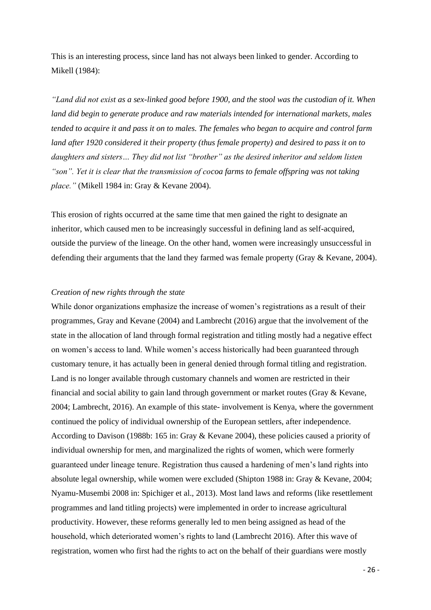This is an interesting process, since land has not always been linked to gender. According to Mikell (1984):

*"Land did not exist as a sex-linked good before 1900, and the stool was the custodian of it. When land did begin to generate produce and raw materials intended for international markets, males tended to acquire it and pass it on to males. The females who began to acquire and control farm land after 1920 considered it their property (thus female property) and desired to pass it on to daughters and sisters… They did not list "brother" as the desired inheritor and seldom listen "son". Yet it is clear that the transmission of cocoa farms to female offspring was not taking place."* (Mikell 1984 in: Gray & Kevane 2004).

This erosion of rights occurred at the same time that men gained the right to designate an inheritor, which caused men to be increasingly successful in defining land as self-acquired, outside the purview of the lineage. On the other hand, women were increasingly unsuccessful in defending their arguments that the land they farmed was female property (Gray & Kevane, 2004).

### *Creation of new rights through the state*

While donor organizations emphasize the increase of women's registrations as a result of their programmes, Gray and Kevane (2004) and Lambrecht (2016) argue that the involvement of the state in the allocation of land through formal registration and titling mostly had a negative effect on women's access to land. While women's access historically had been guaranteed through customary tenure, it has actually been in general denied through formal titling and registration. Land is no longer available through customary channels and women are restricted in their financial and social ability to gain land through government or market routes (Gray & Kevane, 2004; Lambrecht, 2016). An example of this state- involvement is Kenya, where the government continued the policy of individual ownership of the European settlers, after independence. According to Davison (1988b: 165 in: Gray & Kevane 2004), these policies caused a priority of individual ownership for men, and marginalized the rights of women, which were formerly guaranteed under lineage tenure. Registration thus caused a hardening of men's land rights into absolute legal ownership, while women were excluded (Shipton 1988 in: Gray & Kevane, 2004; Nyamu-Musembi 2008 in: Spichiger et al., 2013). Most land laws and reforms (like resettlement programmes and land titling projects) were implemented in order to increase agricultural productivity. However, these reforms generally led to men being assigned as head of the household, which deteriorated women's rights to land (Lambrecht 2016). After this wave of registration, women who first had the rights to act on the behalf of their guardians were mostly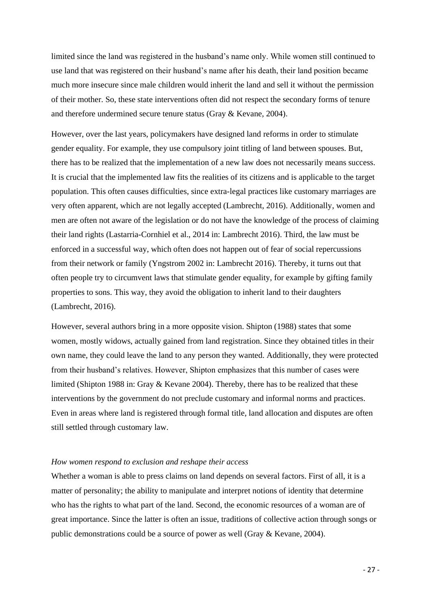limited since the land was registered in the husband's name only. While women still continued to use land that was registered on their husband's name after his death, their land position became much more insecure since male children would inherit the land and sell it without the permission of their mother. So, these state interventions often did not respect the secondary forms of tenure and therefore undermined secure tenure status (Gray & Kevane, 2004).

However, over the last years, policymakers have designed land reforms in order to stimulate gender equality. For example, they use compulsory joint titling of land between spouses. But, there has to be realized that the implementation of a new law does not necessarily means success. It is crucial that the implemented law fits the realities of its citizens and is applicable to the target population. This often causes difficulties, since extra-legal practices like customary marriages are very often apparent, which are not legally accepted (Lambrecht, 2016). Additionally, women and men are often not aware of the legislation or do not have the knowledge of the process of claiming their land rights (Lastarria-Cornhiel et al., 2014 in: Lambrecht 2016). Third, the law must be enforced in a successful way, which often does not happen out of fear of social repercussions from their network or family (Yngstrom 2002 in: Lambrecht 2016). Thereby, it turns out that often people try to circumvent laws that stimulate gender equality, for example by gifting family properties to sons. This way, they avoid the obligation to inherit land to their daughters (Lambrecht, 2016).

However, several authors bring in a more opposite vision. Shipton (1988) states that some women, mostly widows, actually gained from land registration. Since they obtained titles in their own name, they could leave the land to any person they wanted. Additionally, they were protected from their husband's relatives. However, Shipton emphasizes that this number of cases were limited (Shipton 1988 in: Gray & Kevane 2004). Thereby, there has to be realized that these interventions by the government do not preclude customary and informal norms and practices. Even in areas where land is registered through formal title, land allocation and disputes are often still settled through customary law.

#### *How women respond to exclusion and reshape their access*

Whether a woman is able to press claims on land depends on several factors. First of all, it is a matter of personality; the ability to manipulate and interpret notions of identity that determine who has the rights to what part of the land. Second, the economic resources of a woman are of great importance. Since the latter is often an issue, traditions of collective action through songs or public demonstrations could be a source of power as well (Gray & Kevane, 2004).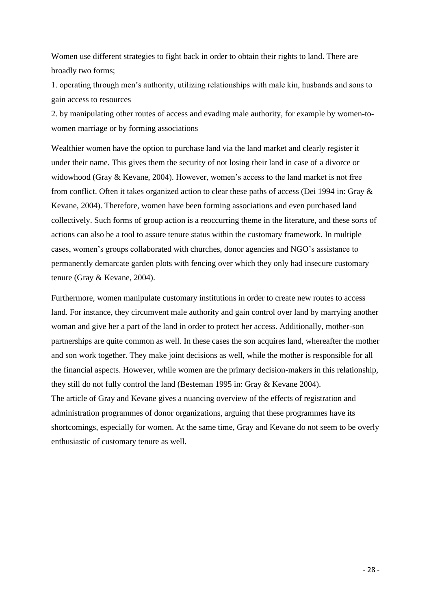Women use different strategies to fight back in order to obtain their rights to land. There are broadly two forms;

1. operating through men's authority, utilizing relationships with male kin, husbands and sons to gain access to resources

2. by manipulating other routes of access and evading male authority, for example by women-towomen marriage or by forming associations

Wealthier women have the option to purchase land via the land market and clearly register it under their name. This gives them the security of not losing their land in case of a divorce or widowhood (Gray & Kevane, 2004). However, women's access to the land market is not free from conflict. Often it takes organized action to clear these paths of access (Dei 1994 in: Gray & Kevane, 2004). Therefore, women have been forming associations and even purchased land collectively. Such forms of group action is a reoccurring theme in the literature, and these sorts of actions can also be a tool to assure tenure status within the customary framework. In multiple cases, women's groups collaborated with churches, donor agencies and NGO's assistance to permanently demarcate garden plots with fencing over which they only had insecure customary tenure (Gray & Kevane, 2004).

Furthermore, women manipulate customary institutions in order to create new routes to access land. For instance, they circumvent male authority and gain control over land by marrying another woman and give her a part of the land in order to protect her access. Additionally, mother-son partnerships are quite common as well. In these cases the son acquires land, whereafter the mother and son work together. They make joint decisions as well, while the mother is responsible for all the financial aspects. However, while women are the primary decision-makers in this relationship, they still do not fully control the land (Besteman 1995 in: Gray & Kevane 2004). The article of Gray and Kevane gives a nuancing overview of the effects of registration and administration programmes of donor organizations, arguing that these programmes have its shortcomings, especially for women. At the same time, Gray and Kevane do not seem to be overly enthusiastic of customary tenure as well.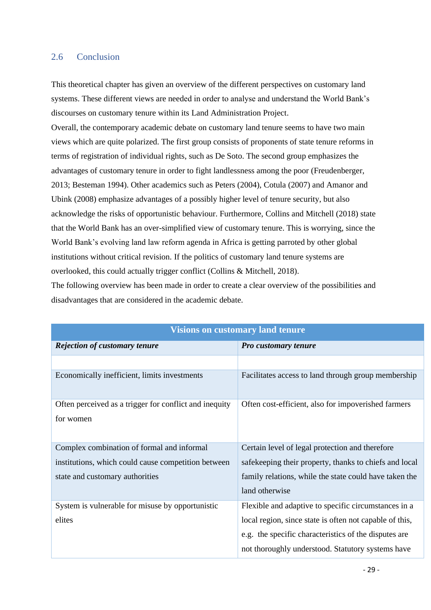## <span id="page-28-0"></span>2.6 Conclusion

This theoretical chapter has given an overview of the different perspectives on customary land systems. These different views are needed in order to analyse and understand the World Bank's discourses on customary tenure within its Land Administration Project.

Overall, the contemporary academic debate on customary land tenure seems to have two main views which are quite polarized. The first group consists of proponents of state tenure reforms in terms of registration of individual rights, such as De Soto. The second group emphasizes the advantages of customary tenure in order to fight landlessness among the poor (Freudenberger, 2013; Besteman 1994). Other academics such as Peters (2004), Cotula (2007) and Amanor and Ubink (2008) emphasize advantages of a possibly higher level of tenure security, but also acknowledge the risks of opportunistic behaviour. Furthermore, Collins and Mitchell (2018) state that the World Bank has an over-simplified view of customary tenure. This is worrying, since the World Bank's evolving land law reform agenda in Africa is getting parroted by other global institutions without critical revision. If the politics of customary land tenure systems are overlooked, this could actually trigger conflict (Collins & Mitchell, 2018).

The following overview has been made in order to create a clear overview of the possibilities and disadvantages that are considered in the academic debate.

| <b>Visions on customary land tenure</b>                |                                                         |  |  |  |
|--------------------------------------------------------|---------------------------------------------------------|--|--|--|
| <b>Rejection of customary tenure</b>                   | <b>Pro customary tenure</b>                             |  |  |  |
|                                                        |                                                         |  |  |  |
| Economically inefficient, limits investments           | Facilitates access to land through group membership     |  |  |  |
| Often perceived as a trigger for conflict and inequity | Often cost-efficient, also for impoverished farmers     |  |  |  |
| for women                                              |                                                         |  |  |  |
|                                                        |                                                         |  |  |  |
| Complex combination of formal and informal             | Certain level of legal protection and therefore         |  |  |  |
| institutions, which could cause competition between    | safekeeping their property, thanks to chiefs and local  |  |  |  |
| state and customary authorities                        | family relations, while the state could have taken the  |  |  |  |
|                                                        | land otherwise                                          |  |  |  |
| System is vulnerable for misuse by opportunistic       | Flexible and adaptive to specific circumstances in a    |  |  |  |
| elites                                                 | local region, since state is often not capable of this, |  |  |  |
|                                                        | e.g. the specific characteristics of the disputes are   |  |  |  |
|                                                        | not thoroughly understood. Statutory systems have       |  |  |  |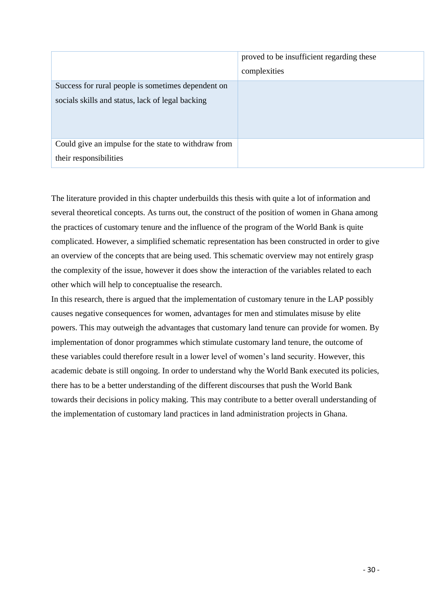|                                                                                | proved to be insufficient regarding these<br>complexities |
|--------------------------------------------------------------------------------|-----------------------------------------------------------|
| Success for rural people is sometimes dependent on                             |                                                           |
| socials skills and status, lack of legal backing                               |                                                           |
| Could give an impulse for the state to withdraw from<br>their responsibilities |                                                           |

The literature provided in this chapter underbuilds this thesis with quite a lot of information and several theoretical concepts. As turns out, the construct of the position of women in Ghana among the practices of customary tenure and the influence of the program of the World Bank is quite complicated. However, a simplified schematic representation has been constructed in order to give an overview of the concepts that are being used. This schematic overview may not entirely grasp the complexity of the issue, however it does show the interaction of the variables related to each other which will help to conceptualise the research.

In this research, there is argued that the implementation of customary tenure in the LAP possibly causes negative consequences for women, advantages for men and stimulates misuse by elite powers. This may outweigh the advantages that customary land tenure can provide for women. By implementation of donor programmes which stimulate customary land tenure, the outcome of these variables could therefore result in a lower level of women's land security. However, this academic debate is still ongoing. In order to understand why the World Bank executed its policies, there has to be a better understanding of the different discourses that push the World Bank towards their decisions in policy making. This may contribute to a better overall understanding of the implementation of customary land practices in land administration projects in Ghana.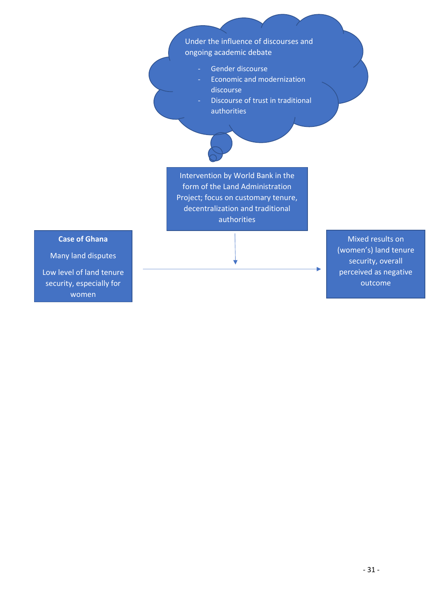## Under the influence of discourses and ongoing academic debate

- Gender discourse
- Economic and modernization discourse
- Discourse of trust in traditional authorities

Intervention by World Bank in the form of the Land Administration Project; focus on customary tenure, decentralization and traditional authorities

**Case of Ghana**

Many land disputes Low level of land tenure security, especially for women

Mixed results on (women's) land tenure security, overall perceived as negative outcome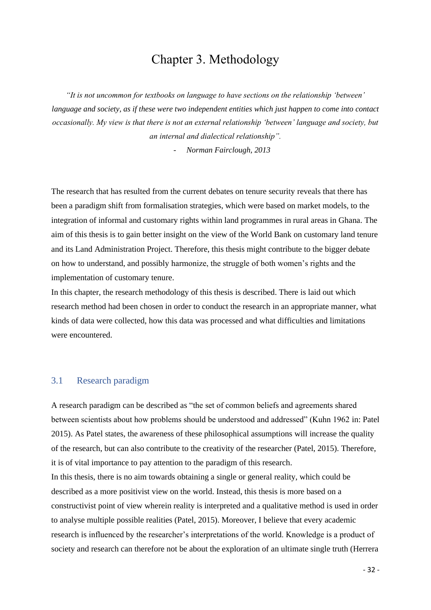## Chapter 3. Methodology

<span id="page-31-0"></span>*"It is not uncommon for textbooks on language to have sections on the relationship 'between' language and society, as if these were two independent entities which just happen to come into contact occasionally. My view is that there is not an external relationship 'between' language and society, but an internal and dialectical relationship".*

- *Norman Fairclough, 2013*

The research that has resulted from the current debates on tenure security reveals that there has been a paradigm shift from formalisation strategies, which were based on market models, to the integration of informal and customary rights within land programmes in rural areas in Ghana. The aim of this thesis is to gain better insight on the view of the World Bank on customary land tenure and its Land Administration Project. Therefore, this thesis might contribute to the bigger debate on how to understand, and possibly harmonize, the struggle of both women's rights and the implementation of customary tenure.

In this chapter, the research methodology of this thesis is described. There is laid out which research method had been chosen in order to conduct the research in an appropriate manner, what kinds of data were collected, how this data was processed and what difficulties and limitations were encountered.

## <span id="page-31-1"></span>3.1 Research paradigm

A research paradigm can be described as "the set of common beliefs and agreements shared between scientists about how problems should be understood and addressed" (Kuhn 1962 in: Patel 2015). As Patel states, the awareness of these philosophical assumptions will increase the quality of the research, but can also contribute to the creativity of the researcher (Patel, 2015). Therefore, it is of vital importance to pay attention to the paradigm of this research. In this thesis, there is no aim towards obtaining a single or general reality, which could be

described as a more positivist view on the world. Instead, this thesis is more based on a constructivist point of view wherein reality is interpreted and a qualitative method is used in order to analyse multiple possible realities (Patel, 2015). Moreover, I believe that every academic research is influenced by the researcher's interpretations of the world. Knowledge is a product of society and research can therefore not be about the exploration of an ultimate single truth (Herrera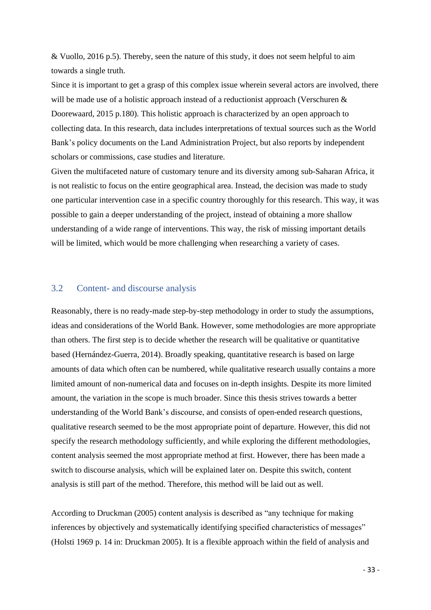& Vuollo, 2016 p.5). Thereby, seen the nature of this study, it does not seem helpful to aim towards a single truth.

Since it is important to get a grasp of this complex issue wherein several actors are involved, there will be made use of a holistic approach instead of a reductionist approach (Verschuren & Doorewaard, 2015 p.180). This holistic approach is characterized by an open approach to collecting data. In this research, data includes interpretations of textual sources such as the World Bank's policy documents on the Land Administration Project, but also reports by independent scholars or commissions, case studies and literature.

Given the multifaceted nature of customary tenure and its diversity among sub-Saharan Africa, it is not realistic to focus on the entire geographical area. Instead, the decision was made to study one particular intervention case in a specific country thoroughly for this research. This way, it was possible to gain a deeper understanding of the project, instead of obtaining a more shallow understanding of a wide range of interventions. This way, the risk of missing important details will be limited, which would be more challenging when researching a variety of cases.

### <span id="page-32-0"></span>3.2 Content- and discourse analysis

Reasonably, there is no ready-made step-by-step methodology in order to study the assumptions, ideas and considerations of the World Bank. However, some methodologies are more appropriate than others. The first step is to decide whether the research will be qualitative or quantitative based (Hernández-Guerra, 2014). Broadly speaking, quantitative research is based on large amounts of data which often can be numbered, while qualitative research usually contains a more limited amount of non-numerical data and focuses on in-depth insights. Despite its more limited amount, the variation in the scope is much broader. Since this thesis strives towards a better understanding of the World Bank's discourse, and consists of open-ended research questions, qualitative research seemed to be the most appropriate point of departure. However, this did not specify the research methodology sufficiently, and while exploring the different methodologies, content analysis seemed the most appropriate method at first. However, there has been made a switch to discourse analysis, which will be explained later on. Despite this switch, content analysis is still part of the method. Therefore, this method will be laid out as well.

According to Druckman (2005) content analysis is described as "any technique for making inferences by objectively and systematically identifying specified characteristics of messages" (Holsti 1969 p. 14 in: Druckman 2005). It is a flexible approach within the field of analysis and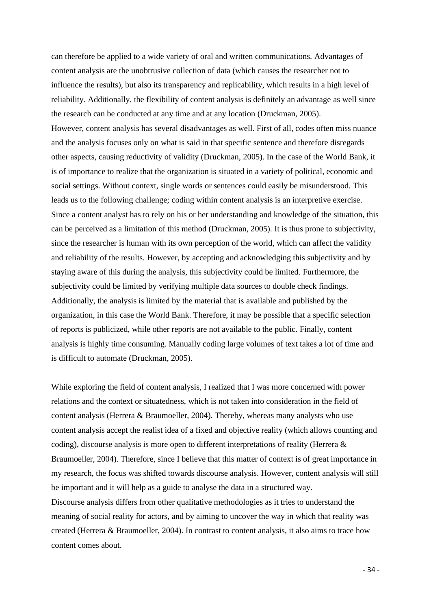can therefore be applied to a wide variety of oral and written communications. Advantages of content analysis are the unobtrusive collection of data (which causes the researcher not to influence the results), but also its transparency and replicability, which results in a high level of reliability. Additionally, the flexibility of content analysis is definitely an advantage as well since the research can be conducted at any time and at any location (Druckman, 2005). However, content analysis has several disadvantages as well. First of all, codes often miss nuance and the analysis focuses only on what is said in that specific sentence and therefore disregards other aspects, causing reductivity of validity (Druckman, 2005). In the case of the World Bank, it is of importance to realize that the organization is situated in a variety of political, economic and social settings. Without context, single words or sentences could easily be misunderstood. This leads us to the following challenge; coding within content analysis is an interpretive exercise. Since a content analyst has to rely on his or her understanding and knowledge of the situation, this can be perceived as a limitation of this method (Druckman, 2005). It is thus prone to subjectivity, since the researcher is human with its own perception of the world, which can affect the validity and reliability of the results. However, by accepting and acknowledging this subjectivity and by staying aware of this during the analysis, this subjectivity could be limited. Furthermore, the subjectivity could be limited by verifying multiple data sources to double check findings. Additionally, the analysis is limited by the material that is available and published by the organization, in this case the World Bank. Therefore, it may be possible that a specific selection of reports is publicized, while other reports are not available to the public. Finally, content analysis is highly time consuming. Manually coding large volumes of text takes a lot of time and is difficult to automate (Druckman, 2005).

While exploring the field of content analysis, I realized that I was more concerned with power relations and the context or situatedness, which is not taken into consideration in the field of content analysis (Herrera & Braumoeller, 2004). Thereby, whereas many analysts who use content analysis accept the realist idea of a fixed and objective reality (which allows counting and coding), discourse analysis is more open to different interpretations of reality (Herrera & Braumoeller, 2004). Therefore, since I believe that this matter of context is of great importance in my research, the focus was shifted towards discourse analysis. However, content analysis will still be important and it will help as a guide to analyse the data in a structured way. Discourse analysis differs from other qualitative methodologies as it tries to understand the meaning of social reality for actors, and by aiming to uncover the way in which that reality was created (Herrera & Braumoeller, 2004). In contrast to content analysis, it also aims to trace how content comes about.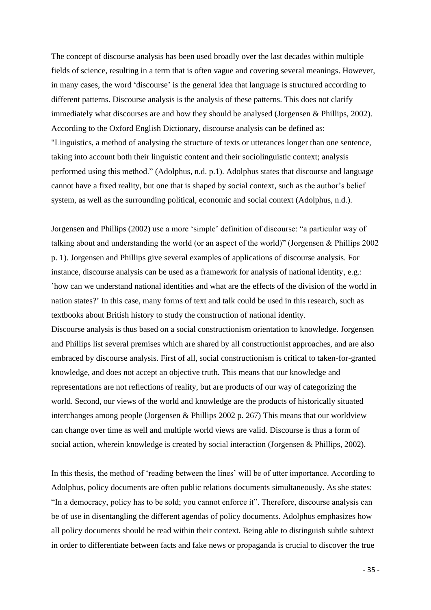The concept of discourse analysis has been used broadly over the last decades within multiple fields of science, resulting in a term that is often vague and covering several meanings. However, in many cases, the word 'discourse' is the general idea that language is structured according to different patterns. Discourse analysis is the analysis of these patterns. This does not clarify immediately what discourses are and how they should be analysed (Jorgensen & Phillips, 2002). According to the Oxford English Dictionary, discourse analysis can be defined as: "Linguistics, a method of analysing the structure of texts or utterances longer than one sentence, taking into account both their linguistic content and their sociolinguistic context; analysis performed using this method." (Adolphus, n.d. p.1). Adolphus states that discourse and language cannot have a fixed reality, but one that is shaped by social context, such as the author's belief system, as well as the surrounding political, economic and social context (Adolphus, n.d.).

Jorgensen and Phillips (2002) use a more 'simple' definition of discourse: "a particular way of talking about and understanding the world (or an aspect of the world)" (Jorgensen & Phillips 2002 p. 1). Jorgensen and Phillips give several examples of applications of discourse analysis. For instance, discourse analysis can be used as a framework for analysis of national identity, e.g.: 'how can we understand national identities and what are the effects of the division of the world in nation states?' In this case, many forms of text and talk could be used in this research, such as textbooks about British history to study the construction of national identity. Discourse analysis is thus based on a social constructionism orientation to knowledge. Jorgensen and Phillips list several premises which are shared by all constructionist approaches, and are also embraced by discourse analysis. First of all, social constructionism is critical to taken-for-granted knowledge, and does not accept an objective truth. This means that our knowledge and representations are not reflections of reality, but are products of our way of categorizing the world. Second, our views of the world and knowledge are the products of historically situated interchanges among people (Jorgensen & Phillips 2002 p. 267) This means that our worldview can change over time as well and multiple world views are valid. Discourse is thus a form of social action, wherein knowledge is created by social interaction (Jorgensen & Phillips, 2002).

In this thesis, the method of 'reading between the lines' will be of utter importance. According to Adolphus, policy documents are often public relations documents simultaneously. As she states: "In a democracy, policy has to be sold; you cannot enforce it". Therefore, discourse analysis can be of use in disentangling the different agendas of policy documents. Adolphus emphasizes how all policy documents should be read within their context. Being able to distinguish subtle subtext in order to differentiate between facts and fake news or propaganda is crucial to discover the true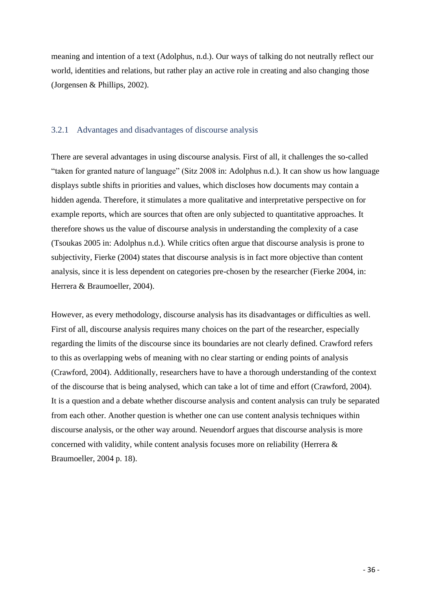meaning and intention of a text (Adolphus, n.d.). Our ways of talking do not neutrally reflect our world, identities and relations, but rather play an active role in creating and also changing those (Jorgensen & Phillips, 2002).

### <span id="page-35-0"></span>3.2.1 Advantages and disadvantages of discourse analysis

There are several advantages in using discourse analysis. First of all, it challenges the so-called "taken for granted nature of language" (Sitz 2008 in: Adolphus n.d.). It can show us how language displays subtle shifts in priorities and values, which discloses how documents may contain a hidden agenda. Therefore, it stimulates a more qualitative and interpretative perspective on for example reports, which are sources that often are only subjected to quantitative approaches. It therefore shows us the value of discourse analysis in understanding the complexity of a case (Tsoukas 2005 in: Adolphus n.d.). While critics often argue that discourse analysis is prone to subjectivity, Fierke (2004) states that discourse analysis is in fact more objective than content analysis, since it is less dependent on categories pre-chosen by the researcher (Fierke 2004, in: Herrera & Braumoeller, 2004).

However, as every methodology, discourse analysis has its disadvantages or difficulties as well. First of all, discourse analysis requires many choices on the part of the researcher, especially regarding the limits of the discourse since its boundaries are not clearly defined. Crawford refers to this as overlapping webs of meaning with no clear starting or ending points of analysis (Crawford, 2004). Additionally, researchers have to have a thorough understanding of the context of the discourse that is being analysed, which can take a lot of time and effort (Crawford, 2004). It is a question and a debate whether discourse analysis and content analysis can truly be separated from each other. Another question is whether one can use content analysis techniques within discourse analysis, or the other way around. Neuendorf argues that discourse analysis is more concerned with validity, while content analysis focuses more on reliability (Herrera & Braumoeller, 2004 p. 18).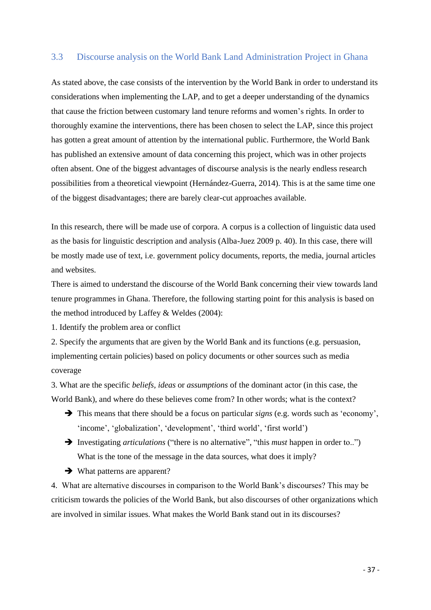## <span id="page-36-0"></span>3.3 Discourse analysis on the World Bank Land Administration Project in Ghana

As stated above, the case consists of the intervention by the World Bank in order to understand its considerations when implementing the LAP, and to get a deeper understanding of the dynamics that cause the friction between customary land tenure reforms and women's rights. In order to thoroughly examine the interventions, there has been chosen to select the LAP, since this project has gotten a great amount of attention by the international public. Furthermore, the World Bank has published an extensive amount of data concerning this project, which was in other projects often absent. One of the biggest advantages of discourse analysis is the nearly endless research possibilities from a theoretical viewpoint (Hernández-Guerra, 2014). This is at the same time one of the biggest disadvantages; there are barely clear-cut approaches available.

In this research, there will be made use of corpora. A corpus is a collection of linguistic data used as the basis for linguistic description and analysis (Alba-Juez 2009 p. 40). In this case, there will be mostly made use of text, i.e. government policy documents, reports, the media, journal articles and websites.

There is aimed to understand the discourse of the World Bank concerning their view towards land tenure programmes in Ghana. Therefore, the following starting point for this analysis is based on the method introduced by Laffey & Weldes (2004):

1. Identify the problem area or conflict

2. Specify the arguments that are given by the World Bank and its functions (e.g. persuasion, implementing certain policies) based on policy documents or other sources such as media coverage

3. What are the specific *beliefs, ideas* or *assumptions* of the dominant actor (in this case, the World Bank), and where do these believes come from? In other words; what is the context?

- ➔ This means that there should be a focus on particular *signs* (e.g. words such as 'economy', 'income', 'globalization', 'development', 'third world', 'first world')
- ➔ Investigating *articulations* ("there is no alternative", "this *must* happen in order to..") What is the tone of the message in the data sources, what does it imply?
- **→** What patterns are apparent?

4. What are alternative discourses in comparison to the World Bank's discourses? This may be criticism towards the policies of the World Bank, but also discourses of other organizations which are involved in similar issues. What makes the World Bank stand out in its discourses?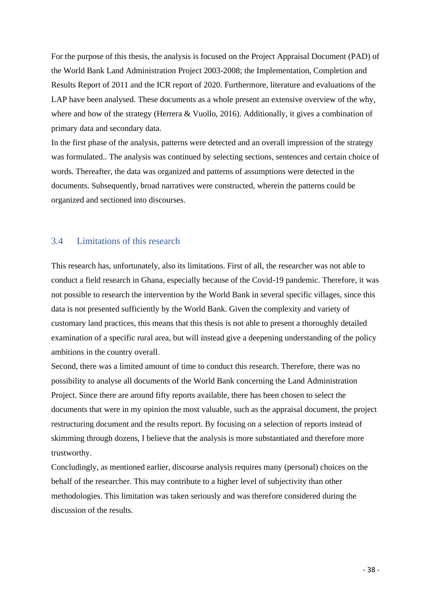For the purpose of this thesis, the analysis is focused on the Project Appraisal Document (PAD) of the World Bank Land Administration Project 2003-2008; the Implementation, Completion and Results Report of 2011 and the ICR report of 2020. Furthermore, literature and evaluations of the LAP have been analysed. These documents as a whole present an extensive overview of the why, where and how of the strategy (Herrera & Vuollo, 2016). Additionally, it gives a combination of primary data and secondary data.

In the first phase of the analysis, patterns were detected and an overall impression of the strategy was formulated.. The analysis was continued by selecting sections, sentences and certain choice of words. Thereafter, the data was organized and patterns of assumptions were detected in the documents. Subsequently, broad narratives were constructed, wherein the patterns could be organized and sectioned into discourses.

## <span id="page-37-0"></span>3.4 Limitations of this research

This research has, unfortunately, also its limitations. First of all, the researcher was not able to conduct a field research in Ghana, especially because of the Covid-19 pandemic. Therefore, it was not possible to research the intervention by the World Bank in several specific villages, since this data is not presented sufficiently by the World Bank. Given the complexity and variety of customary land practices, this means that this thesis is not able to present a thoroughly detailed examination of a specific rural area, but will instead give a deepening understanding of the policy ambitions in the country overall.

Second, there was a limited amount of time to conduct this research. Therefore, there was no possibility to analyse all documents of the World Bank concerning the Land Administration Project. Since there are around fifty reports available, there has been chosen to select the documents that were in my opinion the most valuable, such as the appraisal document, the project restructuring document and the results report. By focusing on a selection of reports instead of skimming through dozens, I believe that the analysis is more substantiated and therefore more trustworthy.

Concludingly, as mentioned earlier, discourse analysis requires many (personal) choices on the behalf of the researcher. This may contribute to a higher level of subjectivity than other methodologies. This limitation was taken seriously and was therefore considered during the discussion of the results.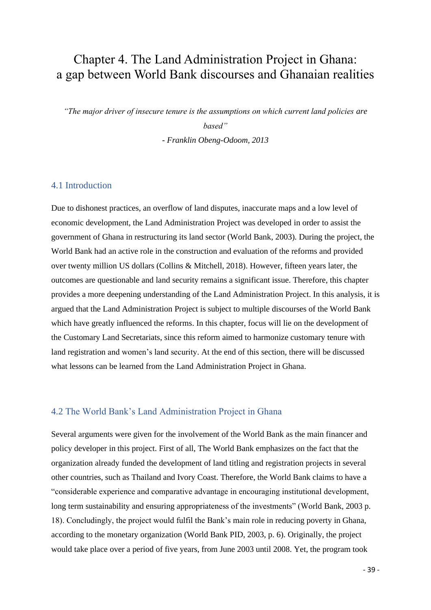# <span id="page-38-0"></span>Chapter 4. The Land Administration Project in Ghana: a gap between World Bank discourses and Ghanaian realities

*"The major driver of insecure tenure is the assumptions on which current land policies are based"* 

*- Franklin Obeng-Odoom, 2013*

## <span id="page-38-1"></span>4.1 Introduction

Due to dishonest practices, an overflow of land disputes, inaccurate maps and a low level of economic development, the Land Administration Project was developed in order to assist the government of Ghana in restructuring its land sector (World Bank, 2003). During the project, the World Bank had an active role in the construction and evaluation of the reforms and provided over twenty million US dollars (Collins & Mitchell, 2018). However, fifteen years later, the outcomes are questionable and land security remains a significant issue. Therefore, this chapter provides a more deepening understanding of the Land Administration Project. In this analysis, it is argued that the Land Administration Project is subject to multiple discourses of the World Bank which have greatly influenced the reforms. In this chapter, focus will lie on the development of the Customary Land Secretariats, since this reform aimed to harmonize customary tenure with land registration and women's land security. At the end of this section, there will be discussed what lessons can be learned from the Land Administration Project in Ghana.

## <span id="page-38-2"></span>4.2 The World Bank's Land Administration Project in Ghana

Several arguments were given for the involvement of the World Bank as the main financer and policy developer in this project. First of all, The World Bank emphasizes on the fact that the organization already funded the development of land titling and registration projects in several other countries, such as Thailand and Ivory Coast. Therefore, the World Bank claims to have a "considerable experience and comparative advantage in encouraging institutional development, long term sustainability and ensuring appropriateness of the investments" (World Bank, 2003 p. 18). Concludingly, the project would fulfil the Bank's main role in reducing poverty in Ghana, according to the monetary organization (World Bank PID, 2003, p. 6). Originally, the project would take place over a period of five years, from June 2003 until 2008. Yet, the program took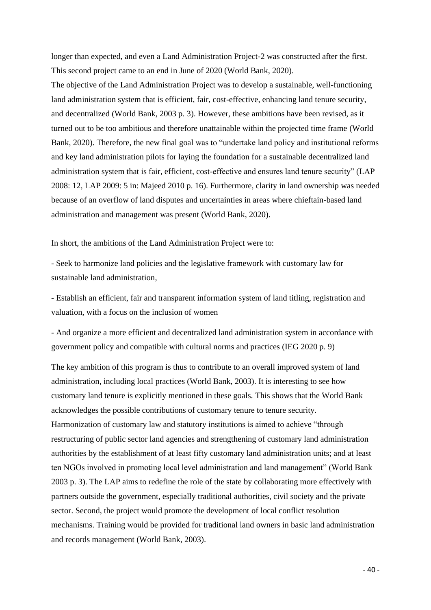longer than expected, and even a Land Administration Project-2 was constructed after the first. This second project came to an end in June of 2020 (World Bank, 2020).

The objective of the Land Administration Project was to develop a sustainable, well-functioning land administration system that is efficient, fair, cost-effective, enhancing land tenure security, and decentralized (World Bank, 2003 p. 3). However, these ambitions have been revised, as it turned out to be too ambitious and therefore unattainable within the projected time frame (World Bank, 2020). Therefore, the new final goal was to "undertake land policy and institutional reforms and key land administration pilots for laying the foundation for a sustainable decentralized land administration system that is fair, efficient, cost-effective and ensures land tenure security" (LAP 2008: 12, LAP 2009: 5 in: Majeed 2010 p. 16). Furthermore, clarity in land ownership was needed because of an overflow of land disputes and uncertainties in areas where chieftain-based land administration and management was present (World Bank, 2020).

In short, the ambitions of the Land Administration Project were to:

*-* Seek to harmonize land policies and the legislative framework with customary law for sustainable land administration*,* 

*-* Establish an efficient, fair and transparent information system of land titling, registration and valuation, with a focus on the inclusion of women

- And organize a more efficient and decentralized land administration system in accordance with government policy and compatible with cultural norms and practices (IEG 2020 p. 9)

The key ambition of this program is thus to contribute to an overall improved system of land administration, including local practices (World Bank, 2003). It is interesting to see how customary land tenure is explicitly mentioned in these goals. This shows that the World Bank acknowledges the possible contributions of customary tenure to tenure security. Harmonization of customary law and statutory institutions is aimed to achieve "through restructuring of public sector land agencies and strengthening of customary land administration authorities by the establishment of at least fifty customary land administration units; and at least ten NGOs involved in promoting local level administration and land management" (World Bank 2003 p. 3). The LAP aims to redefine the role of the state by collaborating more effectively with partners outside the government, especially traditional authorities, civil society and the private sector. Second, the project would promote the development of local conflict resolution mechanisms. Training would be provided for traditional land owners in basic land administration and records management (World Bank, 2003).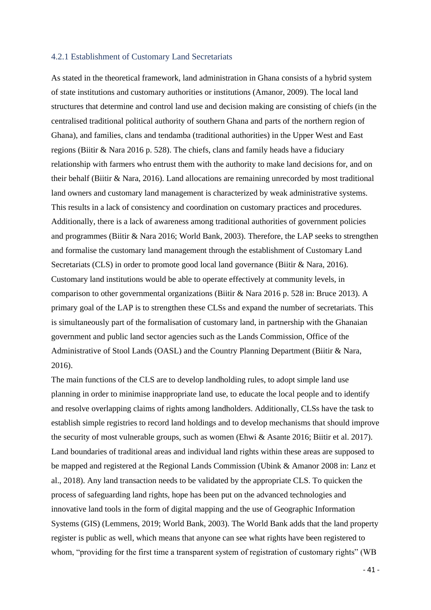### <span id="page-40-0"></span>4.2.1 Establishment of Customary Land Secretariats

As stated in the theoretical framework, land administration in Ghana consists of a hybrid system of state institutions and customary authorities or institutions (Amanor, 2009). The local land structures that determine and control land use and decision making are consisting of chiefs (in the centralised traditional political authority of southern Ghana and parts of the northern region of Ghana), and families, clans and tendamba (traditional authorities) in the Upper West and East regions (Biitir & Nara 2016 p. 528). The chiefs, clans and family heads have a fiduciary relationship with farmers who entrust them with the authority to make land decisions for, and on their behalf (Biitir & Nara, 2016). Land allocations are remaining unrecorded by most traditional land owners and customary land management is characterized by weak administrative systems. This results in a lack of consistency and coordination on customary practices and procedures. Additionally, there is a lack of awareness among traditional authorities of government policies and programmes (Biitir & Nara 2016; World Bank, 2003). Therefore, the LAP seeks to strengthen and formalise the customary land management through the establishment of Customary Land Secretariats (CLS) in order to promote good local land governance (Biitir & Nara, 2016). Customary land institutions would be able to operate effectively at community levels, in comparison to other governmental organizations (Biitir & Nara 2016 p. 528 in: Bruce 2013). A primary goal of the LAP is to strengthen these CLSs and expand the number of secretariats. This is simultaneously part of the formalisation of customary land, in partnership with the Ghanaian government and public land sector agencies such as the Lands Commission, Office of the Administrative of Stool Lands (OASL) and the Country Planning Department (Biitir & Nara, 2016).

The main functions of the CLS are to develop landholding rules, to adopt simple land use planning in order to minimise inappropriate land use, to educate the local people and to identify and resolve overlapping claims of rights among landholders. Additionally, CLSs have the task to establish simple registries to record land holdings and to develop mechanisms that should improve the security of most vulnerable groups, such as women (Ehwi & Asante 2016; Biitir et al. 2017). Land boundaries of traditional areas and individual land rights within these areas are supposed to be mapped and registered at the Regional Lands Commission (Ubink & Amanor 2008 in: Lanz et al., 2018). Any land transaction needs to be validated by the appropriate CLS. To quicken the process of safeguarding land rights, hope has been put on the advanced technologies and innovative land tools in the form of digital mapping and the use of Geographic Information Systems (GIS) (Lemmens, 2019; World Bank, 2003). The World Bank adds that the land property register is public as well, which means that anyone can see what rights have been registered to whom, "providing for the first time a transparent system of registration of customary rights" (WB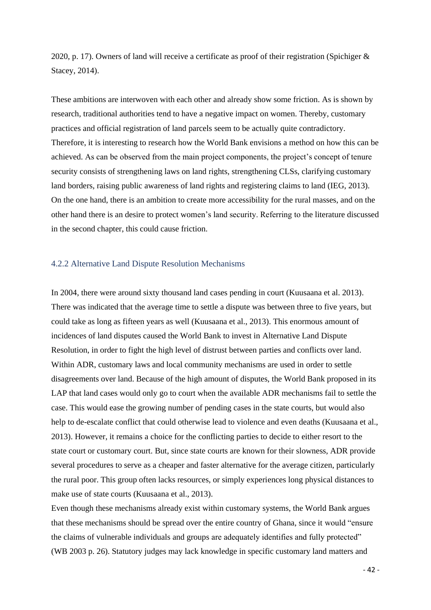2020, p. 17). Owners of land will receive a certificate as proof of their registration (Spichiger & Stacey, 2014).

These ambitions are interwoven with each other and already show some friction. As is shown by research, traditional authorities tend to have a negative impact on women. Thereby, customary practices and official registration of land parcels seem to be actually quite contradictory. Therefore, it is interesting to research how the World Bank envisions a method on how this can be achieved. As can be observed from the main project components, the project's concept of tenure security consists of strengthening laws on land rights, strengthening CLSs, clarifying customary land borders, raising public awareness of land rights and registering claims to land (IEG, 2013). On the one hand, there is an ambition to create more accessibility for the rural masses, and on the other hand there is an desire to protect women's land security. Referring to the literature discussed in the second chapter, this could cause friction.

### <span id="page-41-0"></span>4.2.2 Alternative Land Dispute Resolution Mechanisms

In 2004, there were around sixty thousand land cases pending in court (Kuusaana et al. 2013). There was indicated that the average time to settle a dispute was between three to five years, but could take as long as fifteen years as well (Kuusaana et al., 2013). This enormous amount of incidences of land disputes caused the World Bank to invest in Alternative Land Dispute Resolution, in order to fight the high level of distrust between parties and conflicts over land. Within ADR, customary laws and local community mechanisms are used in order to settle disagreements over land. Because of the high amount of disputes, the World Bank proposed in its LAP that land cases would only go to court when the available ADR mechanisms fail to settle the case. This would ease the growing number of pending cases in the state courts, but would also help to de-escalate conflict that could otherwise lead to violence and even deaths (Kuusaana et al., 2013). However, it remains a choice for the conflicting parties to decide to either resort to the state court or customary court. But, since state courts are known for their slowness, ADR provide several procedures to serve as a cheaper and faster alternative for the average citizen, particularly the rural poor. This group often lacks resources, or simply experiences long physical distances to make use of state courts (Kuusaana et al., 2013).

Even though these mechanisms already exist within customary systems, the World Bank argues that these mechanisms should be spread over the entire country of Ghana, since it would "ensure the claims of vulnerable individuals and groups are adequately identifies and fully protected" (WB 2003 p. 26). Statutory judges may lack knowledge in specific customary land matters and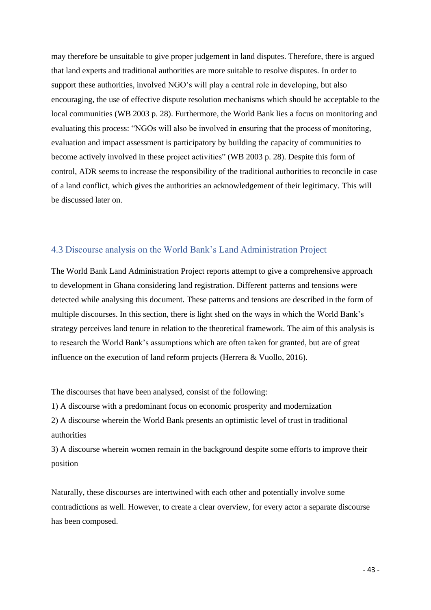may therefore be unsuitable to give proper judgement in land disputes. Therefore, there is argued that land experts and traditional authorities are more suitable to resolve disputes. In order to support these authorities, involved NGO's will play a central role in developing, but also encouraging, the use of effective dispute resolution mechanisms which should be acceptable to the local communities (WB 2003 p. 28). Furthermore, the World Bank lies a focus on monitoring and evaluating this process: "NGOs will also be involved in ensuring that the process of monitoring, evaluation and impact assessment is participatory by building the capacity of communities to become actively involved in these project activities" (WB 2003 p. 28). Despite this form of control, ADR seems to increase the responsibility of the traditional authorities to reconcile in case of a land conflict, which gives the authorities an acknowledgement of their legitimacy. This will be discussed later on.

## <span id="page-42-0"></span>4.3 Discourse analysis on the World Bank's Land Administration Project

The World Bank Land Administration Project reports attempt to give a comprehensive approach to development in Ghana considering land registration. Different patterns and tensions were detected while analysing this document. These patterns and tensions are described in the form of multiple discourses. In this section, there is light shed on the ways in which the World Bank's strategy perceives land tenure in relation to the theoretical framework. The aim of this analysis is to research the World Bank's assumptions which are often taken for granted, but are of great influence on the execution of land reform projects (Herrera & Vuollo, 2016).

The discourses that have been analysed, consist of the following:

1) A discourse with a predominant focus on economic prosperity and modernization

2) A discourse wherein the World Bank presents an optimistic level of trust in traditional authorities

3) A discourse wherein women remain in the background despite some efforts to improve their position

Naturally, these discourses are intertwined with each other and potentially involve some contradictions as well. However, to create a clear overview, for every actor a separate discourse has been composed.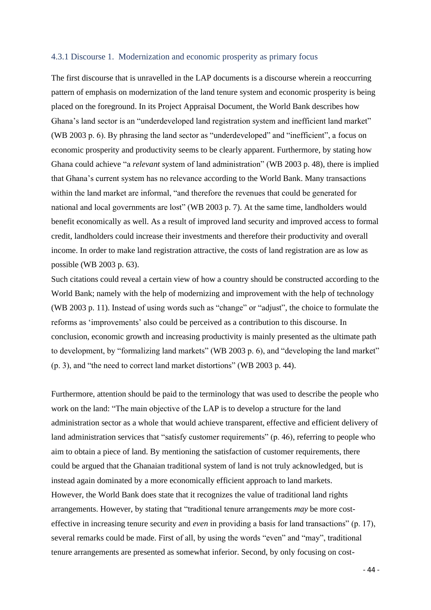### <span id="page-43-0"></span>4.3.1 Discourse 1. Modernization and economic prosperity as primary focus

The first discourse that is unravelled in the LAP documents is a discourse wherein a reoccurring pattern of emphasis on modernization of the land tenure system and economic prosperity is being placed on the foreground. In its Project Appraisal Document, the World Bank describes how Ghana's land sector is an "underdeveloped land registration system and inefficient land market" (WB 2003 p. 6). By phrasing the land sector as "underdeveloped" and "inefficient", a focus on economic prosperity and productivity seems to be clearly apparent. Furthermore, by stating how Ghana could achieve "a *relevant* system of land administration" (WB 2003 p. 48), there is implied that Ghana's current system has no relevance according to the World Bank. Many transactions within the land market are informal, "and therefore the revenues that could be generated for national and local governments are lost" (WB 2003 p. 7). At the same time, landholders would benefit economically as well. As a result of improved land security and improved access to formal credit, landholders could increase their investments and therefore their productivity and overall income. In order to make land registration attractive, the costs of land registration are as low as possible (WB 2003 p. 63).

Such citations could reveal a certain view of how a country should be constructed according to the World Bank; namely with the help of modernizing and improvement with the help of technology (WB 2003 p. 11). Instead of using words such as "change" or "adjust", the choice to formulate the reforms as 'improvements' also could be perceived as a contribution to this discourse. In conclusion, economic growth and increasing productivity is mainly presented as the ultimate path to development, by "formalizing land markets" (WB 2003 p. 6), and "developing the land market" (p. 3), and "the need to correct land market distortions" (WB 2003 p. 44).

Furthermore, attention should be paid to the terminology that was used to describe the people who work on the land: "The main objective of the LAP is to develop a structure for the land administration sector as a whole that would achieve transparent, effective and efficient delivery of land administration services that "satisfy customer requirements" (p. 46), referring to people who aim to obtain a piece of land. By mentioning the satisfaction of customer requirements, there could be argued that the Ghanaian traditional system of land is not truly acknowledged, but is instead again dominated by a more economically efficient approach to land markets. However, the World Bank does state that it recognizes the value of traditional land rights arrangements. However, by stating that "traditional tenure arrangements *may* be more costeffective in increasing tenure security and *even* in providing a basis for land transactions" (p. 17), several remarks could be made. First of all, by using the words "even" and "may", traditional tenure arrangements are presented as somewhat inferior. Second, by only focusing on cost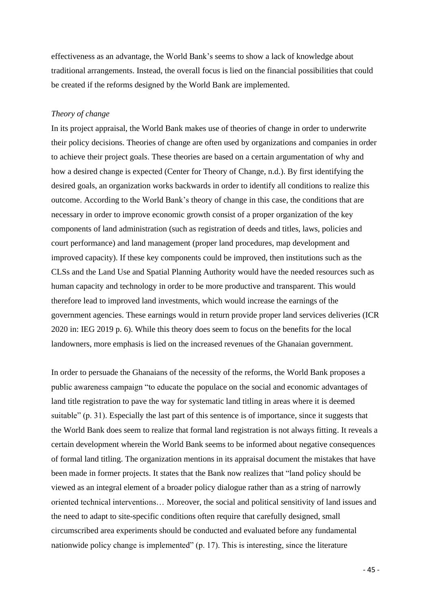effectiveness as an advantage, the World Bank's seems to show a lack of knowledge about traditional arrangements. Instead, the overall focus is lied on the financial possibilities that could be created if the reforms designed by the World Bank are implemented.

#### *Theory of change*

In its project appraisal, the World Bank makes use of theories of change in order to underwrite their policy decisions. Theories of change are often used by organizations and companies in order to achieve their project goals. These theories are based on a certain argumentation of why and how a desired change is expected (Center for Theory of Change, n.d.). By first identifying the desired goals, an organization works backwards in order to identify all conditions to realize this outcome. According to the World Bank's theory of change in this case, the conditions that are necessary in order to improve economic growth consist of a proper organization of the key components of land administration (such as registration of deeds and titles, laws, policies and court performance) and land management (proper land procedures, map development and improved capacity). If these key components could be improved, then institutions such as the CLSs and the Land Use and Spatial Planning Authority would have the needed resources such as human capacity and technology in order to be more productive and transparent. This would therefore lead to improved land investments, which would increase the earnings of the government agencies. These earnings would in return provide proper land services deliveries (ICR 2020 in: IEG 2019 p. 6). While this theory does seem to focus on the benefits for the local landowners, more emphasis is lied on the increased revenues of the Ghanaian government.

In order to persuade the Ghanaians of the necessity of the reforms, the World Bank proposes a public awareness campaign "to educate the populace on the social and economic advantages of land title registration to pave the way for systematic land titling in areas where it is deemed suitable" (p. 31). Especially the last part of this sentence is of importance, since it suggests that the World Bank does seem to realize that formal land registration is not always fitting. It reveals a certain development wherein the World Bank seems to be informed about negative consequences of formal land titling. The organization mentions in its appraisal document the mistakes that have been made in former projects. It states that the Bank now realizes that "land policy should be viewed as an integral element of a broader policy dialogue rather than as a string of narrowly oriented technical interventions… Moreover, the social and political sensitivity of land issues and the need to adapt to site-specific conditions often require that carefully designed, small circumscribed area experiments should be conducted and evaluated before any fundamental nationwide policy change is implemented" (p. 17). This is interesting, since the literature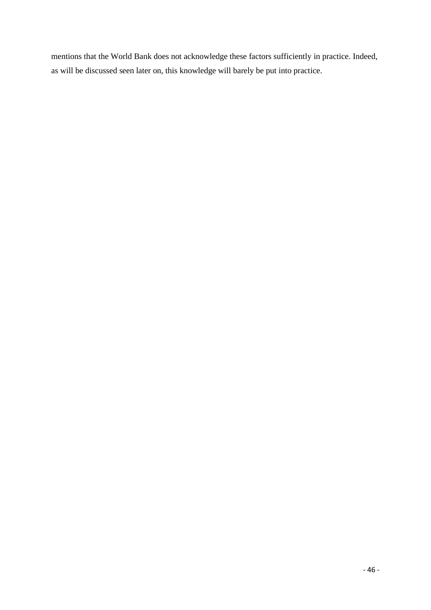mentions that the World Bank does not acknowledge these factors sufficiently in practice. Indeed, as will be discussed seen later on, this knowledge will barely be put into practice.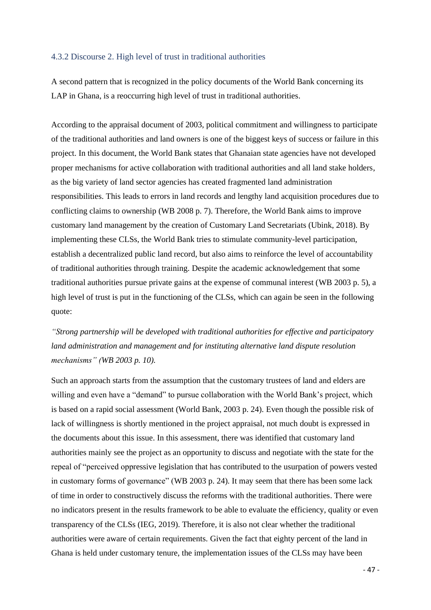### <span id="page-46-0"></span>4.3.2 Discourse 2. High level of trust in traditional authorities

A second pattern that is recognized in the policy documents of the World Bank concerning its LAP in Ghana, is a reoccurring high level of trust in traditional authorities.

According to the appraisal document of 2003, political commitment and willingness to participate of the traditional authorities and land owners is one of the biggest keys of success or failure in this project. In this document, the World Bank states that Ghanaian state agencies have not developed proper mechanisms for active collaboration with traditional authorities and all land stake holders, as the big variety of land sector agencies has created fragmented land administration responsibilities. This leads to errors in land records and lengthy land acquisition procedures due to conflicting claims to ownership (WB 2008 p. 7). Therefore, the World Bank aims to improve customary land management by the creation of Customary Land Secretariats (Ubink, 2018). By implementing these CLSs, the World Bank tries to stimulate community-level participation, establish a decentralized public land record, but also aims to reinforce the level of accountability of traditional authorities through training. Despite the academic acknowledgement that some traditional authorities pursue private gains at the expense of communal interest (WB 2003 p. 5), a high level of trust is put in the functioning of the CLSs, which can again be seen in the following quote:

*"Strong partnership will be developed with traditional authorities for effective and participatory land administration and management and for instituting alternative land dispute resolution mechanisms" (WB 2003 p. 10).*

Such an approach starts from the assumption that the customary trustees of land and elders are willing and even have a "demand" to pursue collaboration with the World Bank's project, which is based on a rapid social assessment (World Bank, 2003 p. 24). Even though the possible risk of lack of willingness is shortly mentioned in the project appraisal, not much doubt is expressed in the documents about this issue. In this assessment, there was identified that customary land authorities mainly see the project as an opportunity to discuss and negotiate with the state for the repeal of "perceived oppressive legislation that has contributed to the usurpation of powers vested in customary forms of governance" (WB 2003 p. 24). It may seem that there has been some lack of time in order to constructively discuss the reforms with the traditional authorities. There were no indicators present in the results framework to be able to evaluate the efficiency, quality or even transparency of the CLSs (IEG, 2019). Therefore, it is also not clear whether the traditional authorities were aware of certain requirements. Given the fact that eighty percent of the land in Ghana is held under customary tenure, the implementation issues of the CLSs may have been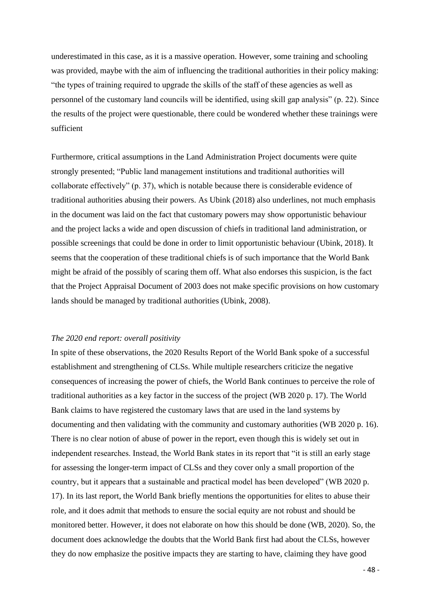underestimated in this case, as it is a massive operation. However, some training and schooling was provided, maybe with the aim of influencing the traditional authorities in their policy making: "the types of training required to upgrade the skills of the staff of these agencies as well as personnel of the customary land councils will be identified, using skill gap analysis" (p. 22). Since the results of the project were questionable, there could be wondered whether these trainings were sufficient

Furthermore, critical assumptions in the Land Administration Project documents were quite strongly presented; "Public land management institutions and traditional authorities will collaborate effectively" (p. 37), which is notable because there is considerable evidence of traditional authorities abusing their powers. As Ubink (2018) also underlines, not much emphasis in the document was laid on the fact that customary powers may show opportunistic behaviour and the project lacks a wide and open discussion of chiefs in traditional land administration, or possible screenings that could be done in order to limit opportunistic behaviour (Ubink, 2018). It seems that the cooperation of these traditional chiefs is of such importance that the World Bank might be afraid of the possibly of scaring them off. What also endorses this suspicion, is the fact that the Project Appraisal Document of 2003 does not make specific provisions on how customary lands should be managed by traditional authorities (Ubink, 2008).

### *The 2020 end report: overall positivity*

In spite of these observations, the 2020 Results Report of the World Bank spoke of a successful establishment and strengthening of CLSs. While multiple researchers criticize the negative consequences of increasing the power of chiefs, the World Bank continues to perceive the role of traditional authorities as a key factor in the success of the project (WB 2020 p. 17). The World Bank claims to have registered the customary laws that are used in the land systems by documenting and then validating with the community and customary authorities (WB 2020 p. 16). There is no clear notion of abuse of power in the report, even though this is widely set out in independent researches. Instead, the World Bank states in its report that "it is still an early stage for assessing the longer-term impact of CLSs and they cover only a small proportion of the country, but it appears that a sustainable and practical model has been developed" (WB 2020 p. 17). In its last report, the World Bank briefly mentions the opportunities for elites to abuse their role, and it does admit that methods to ensure the social equity are not robust and should be monitored better. However, it does not elaborate on how this should be done (WB, 2020). So, the document does acknowledge the doubts that the World Bank first had about the CLSs, however they do now emphasize the positive impacts they are starting to have, claiming they have good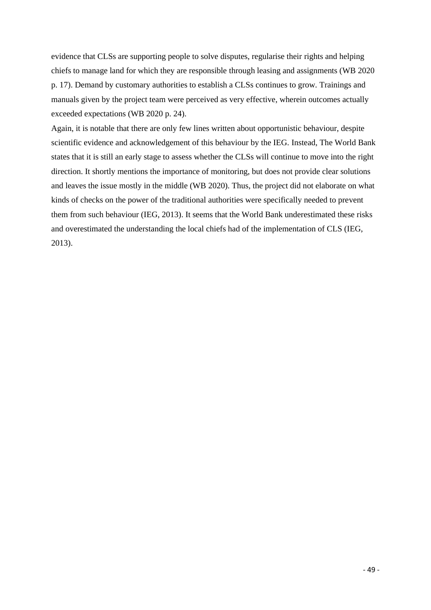evidence that CLSs are supporting people to solve disputes, regularise their rights and helping chiefs to manage land for which they are responsible through leasing and assignments (WB 2020 p. 17). Demand by customary authorities to establish a CLSs continues to grow. Trainings and manuals given by the project team were perceived as very effective, wherein outcomes actually exceeded expectations (WB 2020 p. 24).

Again, it is notable that there are only few lines written about opportunistic behaviour, despite scientific evidence and acknowledgement of this behaviour by the IEG. Instead, The World Bank states that it is still an early stage to assess whether the CLSs will continue to move into the right direction. It shortly mentions the importance of monitoring, but does not provide clear solutions and leaves the issue mostly in the middle (WB 2020). Thus, the project did not elaborate on what kinds of checks on the power of the traditional authorities were specifically needed to prevent them from such behaviour (IEG, 2013). It seems that the World Bank underestimated these risks and overestimated the understanding the local chiefs had of the implementation of CLS (IEG, 2013).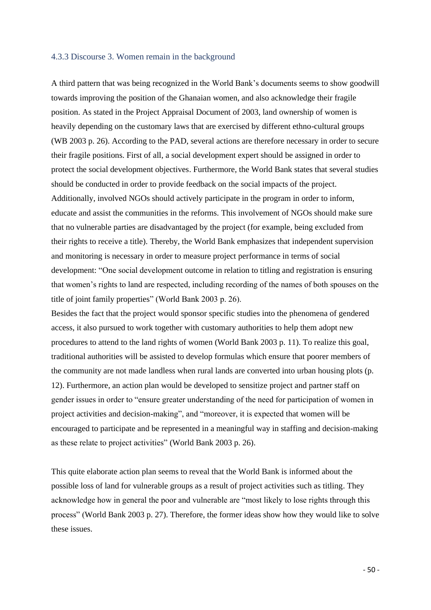#### <span id="page-49-0"></span>4.3.3 Discourse 3. Women remain in the background

A third pattern that was being recognized in the World Bank's documents seems to show goodwill towards improving the position of the Ghanaian women, and also acknowledge their fragile position. As stated in the Project Appraisal Document of 2003, land ownership of women is heavily depending on the customary laws that are exercised by different ethno-cultural groups (WB 2003 p. 26). According to the PAD, several actions are therefore necessary in order to secure their fragile positions. First of all, a social development expert should be assigned in order to protect the social development objectives. Furthermore, the World Bank states that several studies should be conducted in order to provide feedback on the social impacts of the project. Additionally, involved NGOs should actively participate in the program in order to inform, educate and assist the communities in the reforms. This involvement of NGOs should make sure that no vulnerable parties are disadvantaged by the project (for example, being excluded from their rights to receive a title). Thereby, the World Bank emphasizes that independent supervision and monitoring is necessary in order to measure project performance in terms of social development: "One social development outcome in relation to titling and registration is ensuring that women's rights to land are respected, including recording of the names of both spouses on the title of joint family properties" (World Bank 2003 p. 26).

Besides the fact that the project would sponsor specific studies into the phenomena of gendered access, it also pursued to work together with customary authorities to help them adopt new procedures to attend to the land rights of women (World Bank 2003 p. 11). To realize this goal, traditional authorities will be assisted to develop formulas which ensure that poorer members of the community are not made landless when rural lands are converted into urban housing plots (p. 12). Furthermore, an action plan would be developed to sensitize project and partner staff on gender issues in order to "ensure greater understanding of the need for participation of women in project activities and decision-making", and "moreover, it is expected that women will be encouraged to participate and be represented in a meaningful way in staffing and decision-making as these relate to project activities" (World Bank 2003 p. 26).

This quite elaborate action plan seems to reveal that the World Bank is informed about the possible loss of land for vulnerable groups as a result of project activities such as titling. They acknowledge how in general the poor and vulnerable are "most likely to lose rights through this process" (World Bank 2003 p. 27). Therefore, the former ideas show how they would like to solve these issues.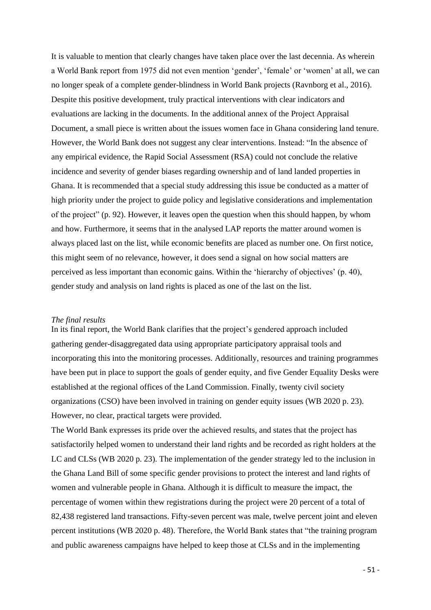It is valuable to mention that clearly changes have taken place over the last decennia. As wherein a World Bank report from 1975 did not even mention 'gender', 'female' or 'women' at all, we can no longer speak of a complete gender-blindness in World Bank projects (Ravnborg et al., 2016). Despite this positive development, truly practical interventions with clear indicators and evaluations are lacking in the documents. In the additional annex of the Project Appraisal Document, a small piece is written about the issues women face in Ghana considering land tenure. However, the World Bank does not suggest any clear interventions. Instead: "In the absence of any empirical evidence, the Rapid Social Assessment (RSA) could not conclude the relative incidence and severity of gender biases regarding ownership and of land landed properties in Ghana. It is recommended that a special study addressing this issue be conducted as a matter of high priority under the project to guide policy and legislative considerations and implementation of the project" (p. 92). However, it leaves open the question when this should happen, by whom and how. Furthermore, it seems that in the analysed LAP reports the matter around women is always placed last on the list, while economic benefits are placed as number one. On first notice, this might seem of no relevance, however, it does send a signal on how social matters are perceived as less important than economic gains. Within the 'hierarchy of objectives' (p. 40), gender study and analysis on land rights is placed as one of the last on the list.

#### *The final results*

In its final report, the World Bank clarifies that the project's gendered approach included gathering gender-disaggregated data using appropriate participatory appraisal tools and incorporating this into the monitoring processes. Additionally, resources and training programmes have been put in place to support the goals of gender equity, and five Gender Equality Desks were established at the regional offices of the Land Commission. Finally, twenty civil society organizations (CSO) have been involved in training on gender equity issues (WB 2020 p. 23). However, no clear, practical targets were provided.

The World Bank expresses its pride over the achieved results, and states that the project has satisfactorily helped women to understand their land rights and be recorded as right holders at the LC and CLSs (WB 2020 p. 23). The implementation of the gender strategy led to the inclusion in the Ghana Land Bill of some specific gender provisions to protect the interest and land rights of women and vulnerable people in Ghana. Although it is difficult to measure the impact, the percentage of women within thew registrations during the project were 20 percent of a total of 82,438 registered land transactions. Fifty-seven percent was male, twelve percent joint and eleven percent institutions (WB 2020 p. 48). Therefore, the World Bank states that "the training program and public awareness campaigns have helped to keep those at CLSs and in the implementing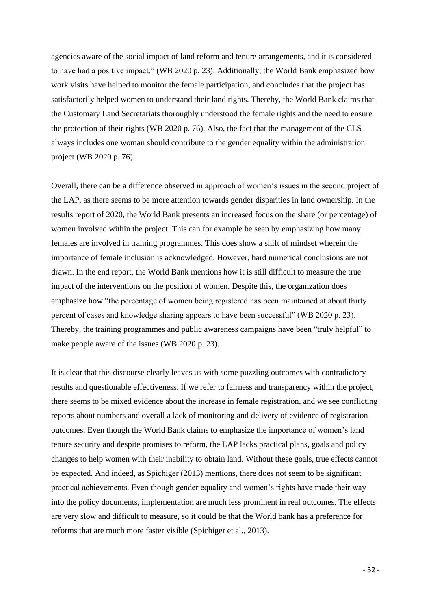agencies aware of the social impact of land reform and tenure arrangements, and it is considered to have had a positive impact." (WB 2020 p. 23). Additionally, the World Bank emphasized how work visits have helped to monitor the female participation, and concludes that the project has satisfactorily helped women to understand their land rights. Thereby, the World Bank claims that the Customary Land Secretariats thoroughly understood the female rights and the need to ensure the protection of their rights (WB 2020 p. 76). Also, the fact that the management of the CLS always includes one woman should contribute to the gender equality within the administration project (WB 2020 p. 76).

Overall, there can be a difference observed in approach of women's issues in the second project of the LAP, as there seems to be more attention towards gender disparities in land ownership. In the results report of 2020, the World Bank presents an increased focus on the share (or percentage) of women involved within the project. This can for example be seen by emphasizing how many females are involved in training programmes. This does show a shift of mindset wherein the importance of female inclusion is acknowledged. However, hard numerical conclusions are not drawn. In the end report, the World Bank mentions how it is still difficult to measure the true impact of the interventions on the position of women. Despite this, the organization does emphasize how "the percentage of women being registered has been maintained at about thirty percent of cases and knowledge sharing appears to have been successful" (WB 2020 p. 23). Thereby, the training programmes and public awareness campaigns have been "truly helpful" to make people aware of the issues (WB 2020 p. 23).

It is clear that this discourse clearly leaves us with some puzzling outcomes with contradictory results and questionable effectiveness. If we refer to fairness and transparency within the project, there seems to be mixed evidence about the increase in female registration, and we see conflicting reports about numbers and overall a lack of monitoring and delivery of evidence of registration outcomes. Even though the World Bank claims to emphasize the importance of women's land tenure security and despite promises to reform, the LAP lacks practical plans, goals and policy changes to help women with their inability to obtain land. Without these goals, true effects cannot be expected. And indeed, as Spichiger (2013) mentions, there does not seem to be significant practical achievements. Even though gender equality and women's rights have made their way into the policy documents, implementation are much less prominent in real outcomes. The effects are very slow and difficult to measure, so it could be that the World bank has a preference for reforms that are much more faster visible (Spichiger et al., 2013).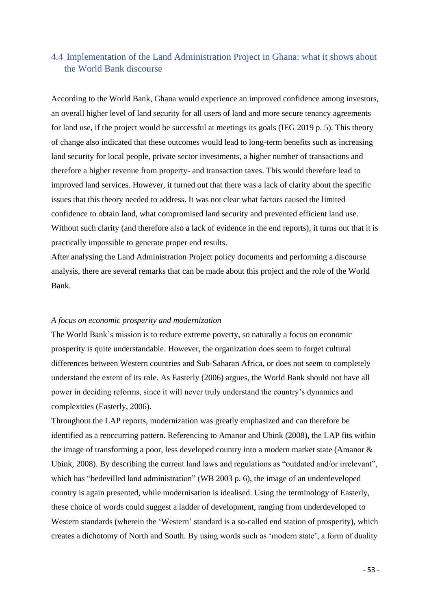## <span id="page-52-0"></span>4.4 Implementation of the Land Administration Project in Ghana: what it shows about the World Bank discourse

According to the World Bank, Ghana would experience an improved confidence among investors, an overall higher level of land security for all users of land and more secure tenancy agreements for land use, if the project would be successful at meetings its goals (IEG 2019 p. 5). This theory of change also indicated that these outcomes would lead to long-term benefits such as increasing land security for local people, private sector investments, a higher number of transactions and therefore a higher revenue from property- and transaction taxes. This would therefore lead to improved land services. However, it turned out that there was a lack of clarity about the specific issues that this theory needed to address. It was not clear what factors caused the limited confidence to obtain land, what compromised land security and prevented efficient land use. Without such clarity (and therefore also a lack of evidence in the end reports), it turns out that it is practically impossible to generate proper end results.

After analysing the Land Administration Project policy documents and performing a discourse analysis, there are several remarks that can be made about this project and the role of the World Bank.

### *A focus on economic prosperity and modernization*

The World Bank's mission is to reduce extreme poverty, so naturally a focus on economic prosperity is quite understandable. However, the organization does seem to forget cultural differences between Western countries and Sub-Saharan Africa, or does not seem to completely understand the extent of its role. As Easterly (2006) argues, the World Bank should not have all power in deciding reforms, since it will never truly understand the country's dynamics and complexities (Easterly, 2006).

Throughout the LAP reports, modernization was greatly emphasized and can therefore be identified as a reoccurring pattern. Referencing to Amanor and Ubink (2008), the LAP fits within the image of transforming a poor, less developed country into a modern market state (Amanor & Ubink, 2008). By describing the current land laws and regulations as "outdated and/or irrelevant", which has "bedevilled land administration" (WB 2003 p. 6), the image of an underdeveloped country is again presented, while modernisation is idealised. Using the terminology of Easterly, these choice of words could suggest a ladder of development, ranging from underdeveloped to Western standards (wherein the 'Western' standard is a so-called end station of prosperity), which creates a dichotomy of North and South. By using words such as 'modern state', a form of duality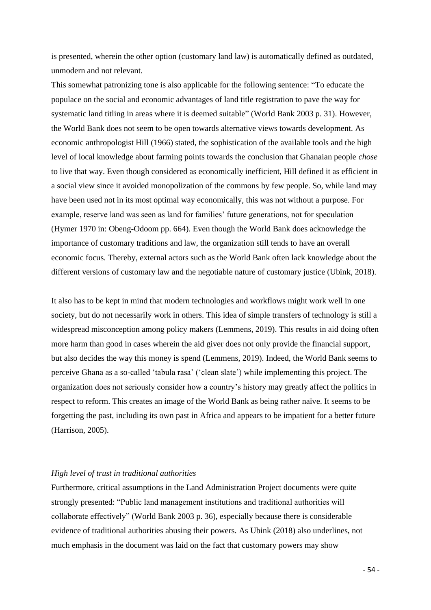is presented, wherein the other option (customary land law) is automatically defined as outdated, unmodern and not relevant.

This somewhat patronizing tone is also applicable for the following sentence: "To educate the populace on the social and economic advantages of land title registration to pave the way for systematic land titling in areas where it is deemed suitable" (World Bank 2003 p. 31). However, the World Bank does not seem to be open towards alternative views towards development. As economic anthropologist Hill (1966) stated, the sophistication of the available tools and the high level of local knowledge about farming points towards the conclusion that Ghanaian people *chose* to live that way. Even though considered as economically inefficient, Hill defined it as efficient in a social view since it avoided monopolization of the commons by few people. So, while land may have been used not in its most optimal way economically, this was not without a purpose. For example, reserve land was seen as land for families' future generations, not for speculation (Hymer 1970 in: Obeng-Odoom pp. 664). Even though the World Bank does acknowledge the importance of customary traditions and law, the organization still tends to have an overall economic focus. Thereby, external actors such as the World Bank often lack knowledge about the different versions of customary law and the negotiable nature of customary justice (Ubink, 2018).

It also has to be kept in mind that modern technologies and workflows might work well in one society, but do not necessarily work in others. This idea of simple transfers of technology is still a widespread misconception among policy makers (Lemmens, 2019). This results in aid doing often more harm than good in cases wherein the aid giver does not only provide the financial support, but also decides the way this money is spend (Lemmens, 2019). Indeed, the World Bank seems to perceive Ghana as a so-called 'tabula rasa' ('clean slate') while implementing this project. The organization does not seriously consider how a country's history may greatly affect the politics in respect to reform. This creates an image of the World Bank as being rather naïve. It seems to be forgetting the past, including its own past in Africa and appears to be impatient for a better future (Harrison, 2005).

### *High level of trust in traditional authorities*

Furthermore, critical assumptions in the Land Administration Project documents were quite strongly presented: "Public land management institutions and traditional authorities will collaborate effectively" (World Bank 2003 p. 36), especially because there is considerable evidence of traditional authorities abusing their powers. As Ubink (2018) also underlines, not much emphasis in the document was laid on the fact that customary powers may show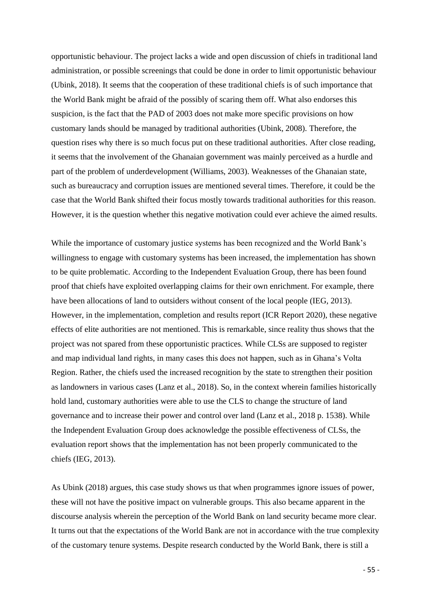opportunistic behaviour. The project lacks a wide and open discussion of chiefs in traditional land administration, or possible screenings that could be done in order to limit opportunistic behaviour (Ubink, 2018). It seems that the cooperation of these traditional chiefs is of such importance that the World Bank might be afraid of the possibly of scaring them off. What also endorses this suspicion, is the fact that the PAD of 2003 does not make more specific provisions on how customary lands should be managed by traditional authorities (Ubink, 2008). Therefore, the question rises why there is so much focus put on these traditional authorities. After close reading, it seems that the involvement of the Ghanaian government was mainly perceived as a hurdle and part of the problem of underdevelopment (Williams, 2003). Weaknesses of the Ghanaian state, such as bureaucracy and corruption issues are mentioned several times. Therefore, it could be the case that the World Bank shifted their focus mostly towards traditional authorities for this reason. However, it is the question whether this negative motivation could ever achieve the aimed results.

While the importance of customary justice systems has been recognized and the World Bank's willingness to engage with customary systems has been increased, the implementation has shown to be quite problematic. According to the Independent Evaluation Group, there has been found proof that chiefs have exploited overlapping claims for their own enrichment. For example, there have been allocations of land to outsiders without consent of the local people (IEG, 2013). However, in the implementation, completion and results report (ICR Report 2020), these negative effects of elite authorities are not mentioned. This is remarkable, since reality thus shows that the project was not spared from these opportunistic practices. While CLSs are supposed to register and map individual land rights, in many cases this does not happen, such as in Ghana's Volta Region. Rather, the chiefs used the increased recognition by the state to strengthen their position as landowners in various cases (Lanz et al., 2018). So, in the context wherein families historically hold land, customary authorities were able to use the CLS to change the structure of land governance and to increase their power and control over land (Lanz et al., 2018 p. 1538). While the Independent Evaluation Group does acknowledge the possible effectiveness of CLSs, the evaluation report shows that the implementation has not been properly communicated to the chiefs (IEG, 2013).

As Ubink (2018) argues, this case study shows us that when programmes ignore issues of power, these will not have the positive impact on vulnerable groups. This also became apparent in the discourse analysis wherein the perception of the World Bank on land security became more clear. It turns out that the expectations of the World Bank are not in accordance with the true complexity of the customary tenure systems. Despite research conducted by the World Bank, there is still a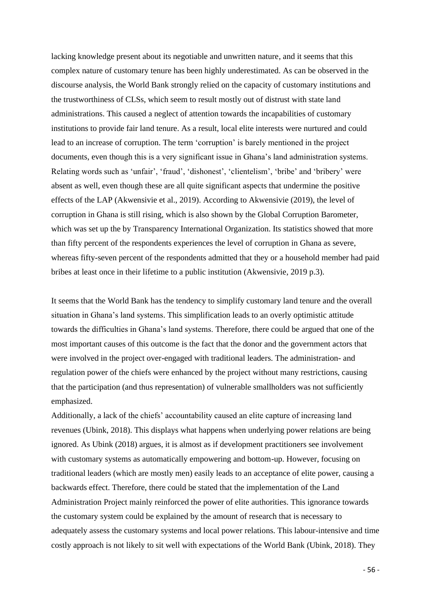lacking knowledge present about its negotiable and unwritten nature, and it seems that this complex nature of customary tenure has been highly underestimated. As can be observed in the discourse analysis, the World Bank strongly relied on the capacity of customary institutions and the trustworthiness of CLSs, which seem to result mostly out of distrust with state land administrations. This caused a neglect of attention towards the incapabilities of customary institutions to provide fair land tenure. As a result, local elite interests were nurtured and could lead to an increase of corruption. The term 'corruption' is barely mentioned in the project documents, even though this is a very significant issue in Ghana's land administration systems. Relating words such as 'unfair', 'fraud', 'dishonest', 'clientelism', 'bribe' and 'bribery' were absent as well, even though these are all quite significant aspects that undermine the positive effects of the LAP (Akwensivie et al., 2019). According to Akwensivie (2019), the level of corruption in Ghana is still rising, which is also shown by the Global Corruption Barometer, which was set up the by Transparency International Organization. Its statistics showed that more than fifty percent of the respondents experiences the level of corruption in Ghana as severe, whereas fifty-seven percent of the respondents admitted that they or a household member had paid bribes at least once in their lifetime to a public institution (Akwensivie, 2019 p.3).

It seems that the World Bank has the tendency to simplify customary land tenure and the overall situation in Ghana's land systems. This simplification leads to an overly optimistic attitude towards the difficulties in Ghana's land systems. Therefore, there could be argued that one of the most important causes of this outcome is the fact that the donor and the government actors that were involved in the project over-engaged with traditional leaders. The administration- and regulation power of the chiefs were enhanced by the project without many restrictions, causing that the participation (and thus representation) of vulnerable smallholders was not sufficiently emphasized.

Additionally, a lack of the chiefs' accountability caused an elite capture of increasing land revenues (Ubink, 2018). This displays what happens when underlying power relations are being ignored. As Ubink (2018) argues, it is almost as if development practitioners see involvement with customary systems as automatically empowering and bottom-up. However, focusing on traditional leaders (which are mostly men) easily leads to an acceptance of elite power, causing a backwards effect. Therefore, there could be stated that the implementation of the Land Administration Project mainly reinforced the power of elite authorities. This ignorance towards the customary system could be explained by the amount of research that is necessary to adequately assess the customary systems and local power relations. This labour-intensive and time costly approach is not likely to sit well with expectations of the World Bank (Ubink, 2018). They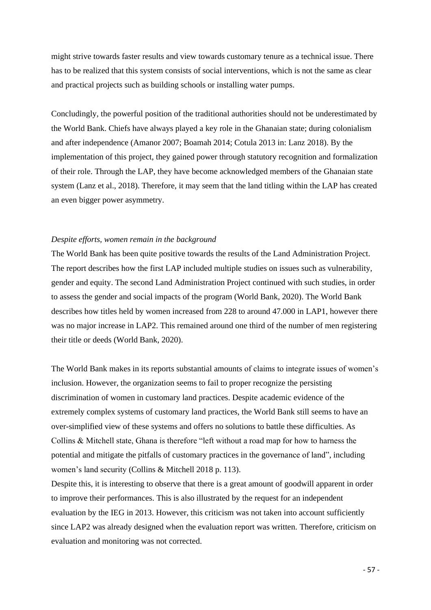might strive towards faster results and view towards customary tenure as a technical issue. There has to be realized that this system consists of social interventions, which is not the same as clear and practical projects such as building schools or installing water pumps.

Concludingly, the powerful position of the traditional authorities should not be underestimated by the World Bank. Chiefs have always played a key role in the Ghanaian state; during colonialism and after independence (Amanor 2007; Boamah 2014; Cotula 2013 in: Lanz 2018). By the implementation of this project, they gained power through statutory recognition and formalization of their role. Through the LAP, they have become acknowledged members of the Ghanaian state system (Lanz et al., 2018). Therefore, it may seem that the land titling within the LAP has created an even bigger power asymmetry.

#### *Despite efforts, women remain in the background*

The World Bank has been quite positive towards the results of the Land Administration Project. The report describes how the first LAP included multiple studies on issues such as vulnerability, gender and equity. The second Land Administration Project continued with such studies, in order to assess the gender and social impacts of the program (World Bank, 2020). The World Bank describes how titles held by women increased from 228 to around 47.000 in LAP1, however there was no major increase in LAP2. This remained around one third of the number of men registering their title or deeds (World Bank, 2020).

The World Bank makes in its reports substantial amounts of claims to integrate issues of women's inclusion. However, the organization seems to fail to proper recognize the persisting discrimination of women in customary land practices. Despite academic evidence of the extremely complex systems of customary land practices, the World Bank still seems to have an over-simplified view of these systems and offers no solutions to battle these difficulties. As Collins & Mitchell state, Ghana is therefore "left without a road map for how to harness the potential and mitigate the pitfalls of customary practices in the governance of land", including women's land security (Collins & Mitchell 2018 p. 113).

Despite this, it is interesting to observe that there is a great amount of goodwill apparent in order to improve their performances. This is also illustrated by the request for an independent evaluation by the IEG in 2013. However, this criticism was not taken into account sufficiently since LAP2 was already designed when the evaluation report was written. Therefore, criticism on evaluation and monitoring was not corrected.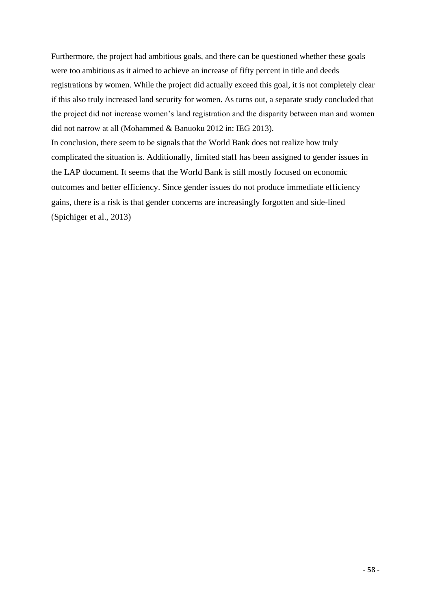Furthermore, the project had ambitious goals, and there can be questioned whether these goals were too ambitious as it aimed to achieve an increase of fifty percent in title and deeds registrations by women. While the project did actually exceed this goal, it is not completely clear if this also truly increased land security for women. As turns out, a separate study concluded that the project did not increase women's land registration and the disparity between man and women did not narrow at all (Mohammed & Banuoku 2012 in: IEG 2013).

In conclusion, there seem to be signals that the World Bank does not realize how truly complicated the situation is. Additionally, limited staff has been assigned to gender issues in the LAP document. It seems that the World Bank is still mostly focused on economic outcomes and better efficiency. Since gender issues do not produce immediate efficiency gains, there is a risk is that gender concerns are increasingly forgotten and side-lined (Spichiger et al., 2013)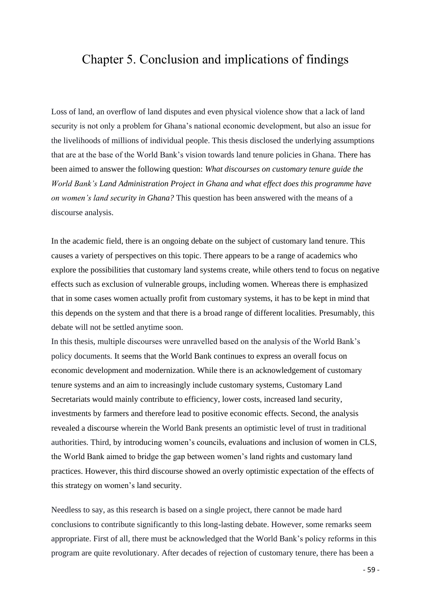## <span id="page-58-0"></span>Chapter 5. Conclusion and implications of findings

Loss of land, an overflow of land disputes and even physical violence show that a lack of land security is not only a problem for Ghana's national economic development, but also an issue for the livelihoods of millions of individual people. This thesis disclosed the underlying assumptions that are at the base of the World Bank's vision towards land tenure policies in Ghana. There has been aimed to answer the following question: *What discourses on customary tenure guide the World Bank's Land Administration Project in Ghana and what effect does this programme have on women's land security in Ghana?* This question has been answered with the means of a discourse analysis.

In the academic field, there is an ongoing debate on the subject of customary land tenure. This causes a variety of perspectives on this topic. There appears to be a range of academics who explore the possibilities that customary land systems create, while others tend to focus on negative effects such as exclusion of vulnerable groups, including women. Whereas there is emphasized that in some cases women actually profit from customary systems, it has to be kept in mind that this depends on the system and that there is a broad range of different localities. Presumably, this debate will not be settled anytime soon.

In this thesis, multiple discourses were unravelled based on the analysis of the World Bank's policy documents. It seems that the World Bank continues to express an overall focus on economic development and modernization. While there is an acknowledgement of customary tenure systems and an aim to increasingly include customary systems, Customary Land Secretariats would mainly contribute to efficiency, lower costs, increased land security, investments by farmers and therefore lead to positive economic effects. Second, the analysis revealed a discourse wherein the World Bank presents an optimistic level of trust in traditional authorities. Third, by introducing women's councils, evaluations and inclusion of women in CLS, the World Bank aimed to bridge the gap between women's land rights and customary land practices. However, this third discourse showed an overly optimistic expectation of the effects of this strategy on women's land security.

Needless to say, as this research is based on a single project, there cannot be made hard conclusions to contribute significantly to this long-lasting debate. However, some remarks seem appropriate. First of all, there must be acknowledged that the World Bank's policy reforms in this program are quite revolutionary. After decades of rejection of customary tenure, there has been a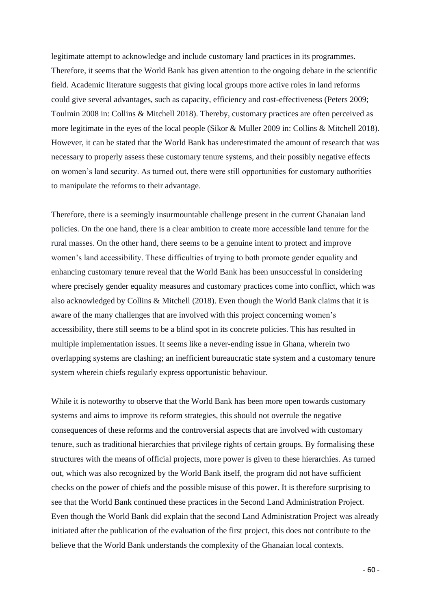legitimate attempt to acknowledge and include customary land practices in its programmes. Therefore, it seems that the World Bank has given attention to the ongoing debate in the scientific field. Academic literature suggests that giving local groups more active roles in land reforms could give several advantages, such as capacity, efficiency and cost-effectiveness (Peters 2009; Toulmin 2008 in: Collins & Mitchell 2018). Thereby, customary practices are often perceived as more legitimate in the eyes of the local people (Sikor & Muller 2009 in: Collins & Mitchell 2018). However, it can be stated that the World Bank has underestimated the amount of research that was necessary to properly assess these customary tenure systems, and their possibly negative effects on women's land security. As turned out, there were still opportunities for customary authorities to manipulate the reforms to their advantage.

Therefore, there is a seemingly insurmountable challenge present in the current Ghanaian land policies. On the one hand, there is a clear ambition to create more accessible land tenure for the rural masses. On the other hand, there seems to be a genuine intent to protect and improve women's land accessibility. These difficulties of trying to both promote gender equality and enhancing customary tenure reveal that the World Bank has been unsuccessful in considering where precisely gender equality measures and customary practices come into conflict, which was also acknowledged by Collins & Mitchell (2018). Even though the World Bank claims that it is aware of the many challenges that are involved with this project concerning women's accessibility, there still seems to be a blind spot in its concrete policies. This has resulted in multiple implementation issues. It seems like a never-ending issue in Ghana, wherein two overlapping systems are clashing; an inefficient bureaucratic state system and a customary tenure system wherein chiefs regularly express opportunistic behaviour.

While it is noteworthy to observe that the World Bank has been more open towards customary systems and aims to improve its reform strategies, this should not overrule the negative consequences of these reforms and the controversial aspects that are involved with customary tenure, such as traditional hierarchies that privilege rights of certain groups. By formalising these structures with the means of official projects, more power is given to these hierarchies. As turned out, which was also recognized by the World Bank itself, the program did not have sufficient checks on the power of chiefs and the possible misuse of this power. It is therefore surprising to see that the World Bank continued these practices in the Second Land Administration Project. Even though the World Bank did explain that the second Land Administration Project was already initiated after the publication of the evaluation of the first project, this does not contribute to the believe that the World Bank understands the complexity of the Ghanaian local contexts.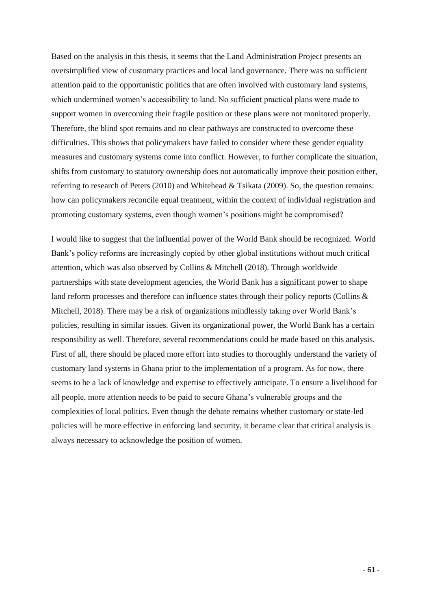Based on the analysis in this thesis, it seems that the Land Administration Project presents an oversimplified view of customary practices and local land governance. There was no sufficient attention paid to the opportunistic politics that are often involved with customary land systems, which undermined women's accessibility to land. No sufficient practical plans were made to support women in overcoming their fragile position or these plans were not monitored properly. Therefore, the blind spot remains and no clear pathways are constructed to overcome these difficulties. This shows that policymakers have failed to consider where these gender equality measures and customary systems come into conflict. However, to further complicate the situation, shifts from customary to statutory ownership does not automatically improve their position either, referring to research of Peters (2010) and Whitehead & Tsikata (2009). So, the question remains: how can policymakers reconcile equal treatment, within the context of individual registration and promoting customary systems, even though women's positions might be compromised?

I would like to suggest that the influential power of the World Bank should be recognized. World Bank's policy reforms are increasingly copied by other global institutions without much critical attention, which was also observed by Collins & Mitchell (2018). Through worldwide partnerships with state development agencies, the World Bank has a significant power to shape land reform processes and therefore can influence states through their policy reports (Collins & Mitchell, 2018). There may be a risk of organizations mindlessly taking over World Bank's policies, resulting in similar issues. Given its organizational power, the World Bank has a certain responsibility as well. Therefore, several recommendations could be made based on this analysis. First of all, there should be placed more effort into studies to thoroughly understand the variety of customary land systems in Ghana prior to the implementation of a program. As for now, there seems to be a lack of knowledge and expertise to effectively anticipate. To ensure a livelihood for all people, more attention needs to be paid to secure Ghana's vulnerable groups and the complexities of local politics. Even though the debate remains whether customary or state-led policies will be more effective in enforcing land security, it became clear that critical analysis is always necessary to acknowledge the position of women.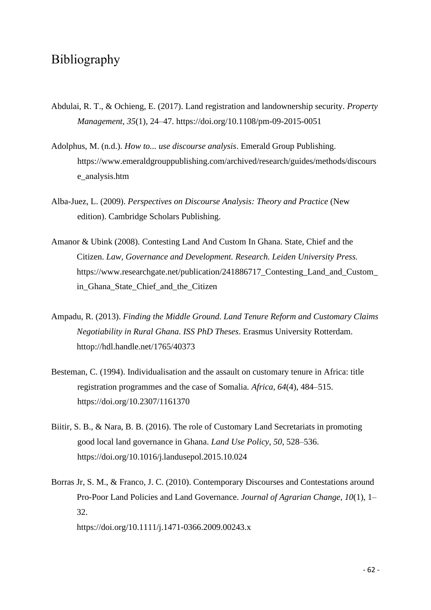## <span id="page-61-0"></span>Bibliography

- Abdulai, R. T., & Ochieng, E. (2017). Land registration and landownership security. *Property Management*, *35*(1), 24–47. https://doi.org/10.1108/pm-09-2015-0051
- Adolphus, M. (n.d.). *How to... use discourse analysis*. Emerald Group Publishing. [https://www.emeraldgrouppublishing.com/archived/research/guides/methods/discours](https://www.emeraldgrouppublishing.com/archived/research/guides/methods/discourse_analysis.htm) [e\\_analysis.htm](https://www.emeraldgrouppublishing.com/archived/research/guides/methods/discourse_analysis.htm)
- Alba-Juez, L. (2009). *Perspectives on Discourse Analysis: Theory and Practice* (New edition). Cambridge Scholars Publishing.
- Amanor & Ubink (2008). Contesting Land And Custom In Ghana. State, Chief and the Citizen. *Law, Governance and Development. Research. Leiden University Press.* https://www.researchgate.net/publication/241886717 Contesting Land and Custom [in\\_Ghana\\_State\\_Chief\\_and\\_the\\_Citizen](https://www.researchgate.net/publication/241886717_Contesting_Land_and_Custom_%09in_Ghana_State_Chief_and_the_Citizen)
- Ampadu, R. (2013). *Finding the Middle Ground. Land Tenure Reform and Customary Claims Negotiability in Rural Ghana. ISS PhD Theses*. Erasmus University Rotterdam. httop://hdl.handle.net/1765/40373
- Besteman, C. (1994). Individualisation and the assault on customary tenure in Africa: title registration programmes and the case of Somalia. *Africa*, *64*(4), 484–515. <https://doi.org/10.2307/1161370>
- Biitir, S. B., & Nara, B. B. (2016). The role of Customary Land Secretariats in promoting good local land governance in Ghana. *Land Use Policy*, *50*, 528–536. https://doi.org/10.1016/j.landusepol.2015.10.024
- Borras Jr, S. M., & Franco, J. C. (2010). Contemporary Discourses and Contestations around Pro-Poor Land Policies and Land Governance. *Journal of Agrarian Change*, *10*(1), 1– 32.

https://doi.org/10.1111/j.1471-0366.2009.00243.x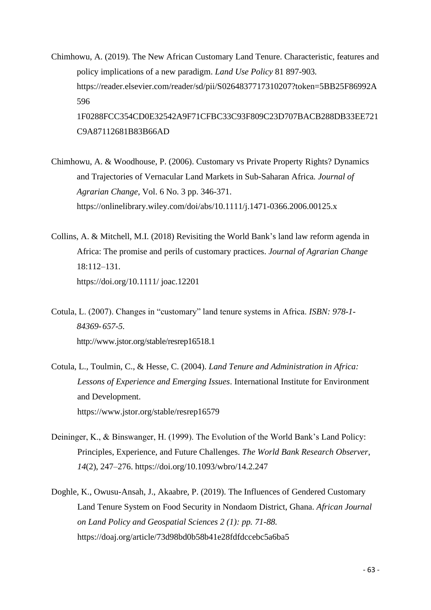- Chimhowu, A. (2019). The New African Customary Land Tenure. Characteristic, features and policy implications of a new paradigm. *Land Use Policy* 81 897-903*.*  [https://reader.elsevier.com/reader/sd/pii/S0264837717310207?token=5BB25F86992A](https://reader.elsevier.com/reader/sd/pii/S0264837717310207?token=5BB25F86992A%09596%20%20%20%20%20%091F0288FCC354CD0E32542A9F71CFBC33C93F809C23D707BACB288DB33EE721%20%20%20%20%09C9A87112681B83B66AD) [596](https://reader.elsevier.com/reader/sd/pii/S0264837717310207?token=5BB25F86992A%09596%20%20%20%20%20%091F0288FCC354CD0E32542A9F71CFBC33C93F809C23D707BACB288DB33EE721%20%20%20%20%09C9A87112681B83B66AD)  [1F0288FCC354CD0E32542A9F71CFBC33C93F809C23D707BACB288DB33EE721](https://reader.elsevier.com/reader/sd/pii/S0264837717310207?token=5BB25F86992A%09596%20%20%20%20%20%091F0288FCC354CD0E32542A9F71CFBC33C93F809C23D707BACB288DB33EE721%20%20%20%20%09C9A87112681B83B66AD)  [C9A87112681B83B66AD](https://reader.elsevier.com/reader/sd/pii/S0264837717310207?token=5BB25F86992A%09596%20%20%20%20%20%091F0288FCC354CD0E32542A9F71CFBC33C93F809C23D707BACB288DB33EE721%20%20%20%20%09C9A87112681B83B66AD)
- Chimhowu, A. & Woodhouse, P. (2006). Customary vs Private Property Rights? Dynamics and Trajectories of Vernacular Land Markets in Sub-Saharan Africa*. Journal of Agrarian Change*, Vol. 6 No. 3 pp. 346-371. <https://onlinelibrary.wiley.com/doi/abs/10.1111/j.1471-0366.2006.00125.x>
- Collins, A. & Mitchell, M.I. (2018) Revisiting the World Bank's land law reform agenda in Africa: The promise and perils of customary practices. *Journal of Agrarian Change*  18:112–131. <https://doi.org/10.1111/> joac.12201
- Cotula, L. (2007). Changes in "customary" land tenure systems in Africa. *ISBN: 978-1- 84369-657-5.* [http://www.jstor.org/stable/resrep16518.1](file:///C:/Users/Yanda/Documents/Masterscriptie/%09%09http:/dlc.dlib.indiana.edu/dlc/bitstream/handle/10535/6103/changes.pdf%3fsequence=1)
- Cotula, L., Toulmin, C., & Hesse, C. (2004). *Land Tenure and Administration in Africa: Lessons of Experience and Emerging Issues*. International Institute for Environment and Development. <https://www.jstor.org/stable/resrep16579>
- Deininger, K., & Binswanger, H. (1999). The Evolution of the World Bank's Land Policy: Principles, Experience, and Future Challenges. *The World Bank Research Observer*, *14*(2), 247–276. https://doi.org/10.1093/wbro/14.2.247
- Doghle, K., Owusu-Ansah, J., Akaabre, P. (2019). The Influences of Gendered Customary Land Tenure System on Food Security in Nondaom District, Ghana. *African Journal on Land Policy and Geospatial Sciences 2 (1): pp. 71-88.* <https://doaj.org/article/73d98bd0b58b41e28fdfdccebc5a6ba5>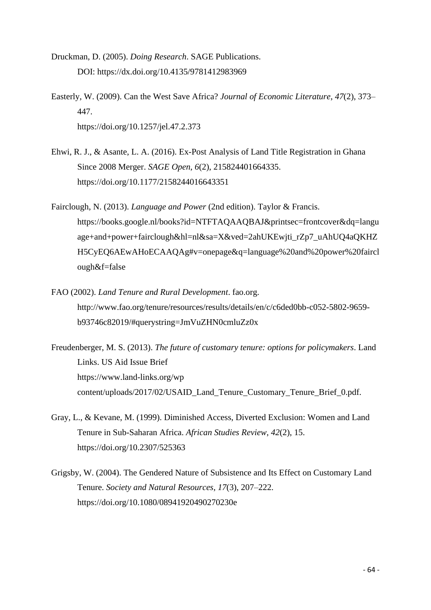- Druckman, D. (2005). *Doing Research*. SAGE Publications. DOI: <https://dx.doi.org/10.4135/9781412983969>
- Easterly, W. (2009). Can the West Save Africa? *Journal of Economic Literature*, *47*(2), 373– 447. https://doi.org/10.1257/jel.47.2.373
- Ehwi, R. J., & Asante, L. A. (2016). Ex-Post Analysis of Land Title Registration in Ghana Since 2008 Merger. *SAGE Open*, *6*(2), 215824401664335. <https://doi.org/10.1177/2158244016643351>
- Fairclough, N. (2013). *Language and Power* (2nd edition). Taylor & Francis. https://books.google.nl/books?id=NTFTAQAAQBAJ&printsec=frontcover&dq=langu age+and+power+fairclough&hl=nl&sa=X&ved=2ahUKEwjti\_rZp7\_uAhUQ4aQKHZ H5CyEQ6AEwAHoECAAQAg#v=onepage&q=language%20and%20power%20faircl ough&f=false
- FAO (2002). *Land Tenure and Rural Development*. fao.org. http://www.fao.org/tenure/resources/results/details/en/c/c6ded0bb-c052-5802-9659 b93746c82019/#querystring=JmVuZHN0cmluZz0x
- Freudenberger, M. S. (2013). *The future of customary tenure: options for policymakers*. Land Links. US Aid Issue Brief <https://www.land-links.org/wp> content/uploads/2017/02/USAID\_Land\_Tenure\_Customary\_Tenure\_Brief\_0.pdf.
- Gray, L., & Kevane, M. (1999). Diminished Access, Diverted Exclusion: Women and Land Tenure in Sub-Saharan Africa. *African Studies Review*, *42*(2), 15. <https://doi.org/10.2307/525363>
- Grigsby, W. (2004). The Gendered Nature of Subsistence and Its Effect on Customary Land Tenure. *Society and Natural Resources*, *17*(3), 207–222. [https://doi.org/10.1080/08941920490270230e](https://www.tandfonline.com/doi/pdf/10.1080/08941920490270230?needAccess=true)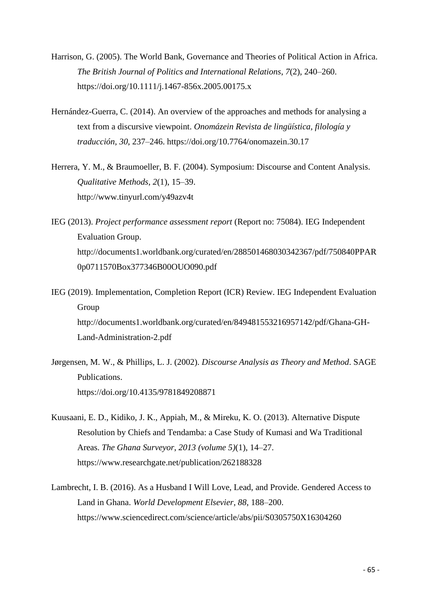- Harrison, G. (2005). The World Bank, Governance and Theories of Political Action in Africa. *The British Journal of Politics and International Relations*, *7*(2), 240–260. <https://doi.org/10.1111/j.1467-856x.2005.00175.x>
- Hernández-Guerra, C. (2014). An overview of the approaches and methods for analysing a text from a discursive viewpoint. *Onomázein Revista de lingüística, filología y traducción*, *30*, 237–246. https://doi.org/10.7764/onomazein.30.17
- Herrera, Y. M., & Braumoeller, B. F. (2004). Symposium: Discourse and Content Analysis. *Qualitative Methods*, *2*(1), 15–39. <http://www.tinyurl.com/y49azv4t>
- IEG (2013). *Project performance assessment report* (Report no: 75084). IEG Independent Evaluation Group. http://documents1.worldbank.org/curated/en/288501468030342367/pdf/750840PPAR 0p0711570Box377346B00OUO090.pdf
- IEG (2019). Implementation, Completion Report (ICR) Review. IEG Independent Evaluation Group [http://documents1.worldbank.org/curated/en/849481553216957142/pdf/Ghana-GH-](http://documents1.worldbank.org/curated/en/849481553216957142/pdf/Ghana-GH-Land-Administration-2.pdf)[Land-Administration-2.pdf](http://documents1.worldbank.org/curated/en/849481553216957142/pdf/Ghana-GH-Land-Administration-2.pdf)
- Jørgensen, M. W., & Phillips, L. J. (2002). *Discourse Analysis as Theory and Method*. SAGE Publications. <https://doi.org/10.4135/9781849208871>
- Kuusaani, E. D., Kidiko, J. K., Appiah, M., & Mireku, K. O. (2013). Alternative Dispute Resolution by Chiefs and Tendamba: a Case Study of Kumasi and Wa Traditional Areas. *The Ghana Surveyor*, *2013 (volume 5)*(1), 14–27. https://www.researchgate.net/publication/262188328
- Lambrecht, I. B. (2016). As a Husband I Will Love, Lead, and Provide. Gendered Access to Land in Ghana. *World Development Elsevier*, *88*, 188–200. <https://www.sciencedirect.com/science/article/abs/pii/S0305750X16304260>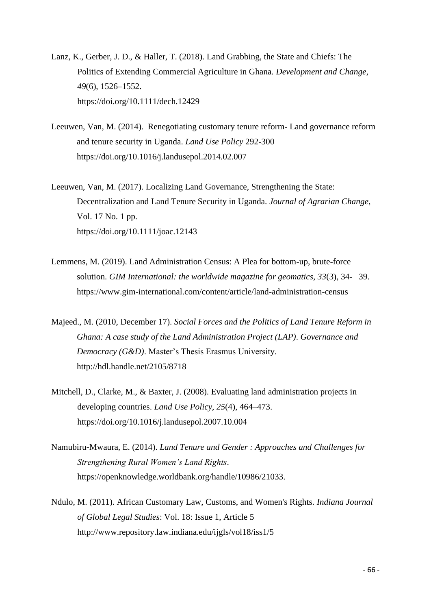- Lanz, K., Gerber, J. D., & Haller, T. (2018). Land Grabbing, the State and Chiefs: The Politics of Extending Commercial Agriculture in Ghana. *Development and Change*, *49*(6), 1526–1552. https://doi.org/10.1111/dech.12429
- Leeuwen, Van, M. (2014). Renegotiating customary tenure reform- Land governance reform and tenure security in Uganda. *Land Use Policy* 292-300 [https://doi.org/10.1016/j.landusepol.2014.02.007](https://doi-org.ru.idm.oclc.org/10.1016/j.landusepol.2014.02.007)
- Leeuwen, Van, M. (2017). Localizing Land Governance, Strengthening the State: Decentralization and Land Tenure Security in Uganda. *Journal of Agrarian Change*, Vol. 17 No. 1 pp. https://doi.org/10.1111/joac.12143
- Lemmens, M. (2019). Land Administration Census: A Plea for bottom-up, brute-force solution. *GIM International: the worldwide magazine for geomatics, 33*(3), 34- 39. <https://www.gim-international.com/content/article/land-administration-census>
- Majeed., M. (2010, December 17). *Social Forces and the Politics of Land Tenure Reform in Ghana: A case study of the Land Administration Project (LAP)*. *Governance and Democracy (G&D)*. Master's Thesis Erasmus University. http://hdl.handle.net/2105/8718
- Mitchell, D., Clarke, M., & Baxter, J. (2008). Evaluating land administration projects in developing countries. *Land Use Policy*, *25*(4), 464–473. https://doi.org/10.1016/j.landusepol.2007.10.004
- Namubiru-Mwaura, E. (2014). *Land Tenure and Gender : Approaches and Challenges for Strengthening Rural Women's Land Rights*. https://openknowledge.worldbank.org/handle/10986/21033.
- Ndulo, M. (2011). African Customary Law, Customs, and Women's Rights. *Indiana Journal of Global Legal Studies*: Vol. 18: Issue 1, Article 5 <http://www.repository.law.indiana.edu/ijgls/vol18/iss1/5>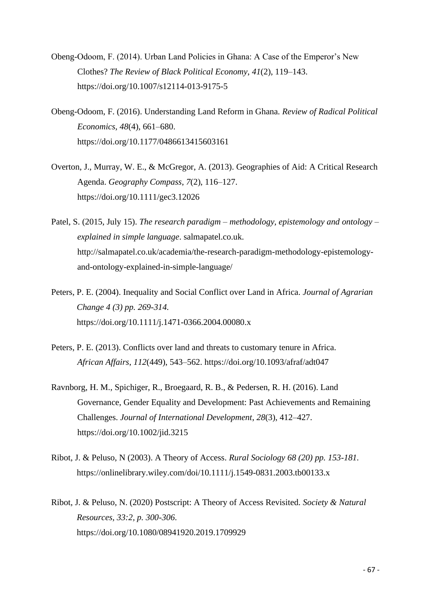- Obeng-Odoom, F. (2014). Urban Land Policies in Ghana: A Case of the Emperor's New Clothes? *The Review of Black Political Economy*, *41*(2), 119–143. https://doi.org/10.1007/s12114-013-9175-5
- Obeng-Odoom, F. (2016). Understanding Land Reform in Ghana. *Review of Radical Political Economics*, *48*(4), 661–680. https://doi.org/10.1177/0486613415603161
- Overton, J., Murray, W. E., & McGregor, A. (2013). Geographies of Aid: A Critical Research Agenda. *Geography Compass*, *7*(2), 116–127. https://doi.org/10.1111/gec3.12026
- Patel, S. (2015, July 15). *The research paradigm – methodology, epistemology and ontology – explained in simple language*. salmapatel.co.uk. http://salmapatel.co.uk/academia/the-research-paradigm-methodology-epistemologyand-ontology-explained-in-simple-language/
- Peters, P. E. (2004). Inequality and Social Conflict over Land in Africa. *Journal of Agrarian Change 4 (3) pp. 269-314.*  https://doi.org/10.1111/j.1471-0366.2004.00080.x
- Peters, P. E. (2013). Conflicts over land and threats to customary tenure in Africa. *African Affairs*, *112*(449), 543–562. https://doi.org/10.1093/afraf/adt047
- Ravnborg, H. M., Spichiger, R., Broegaard, R. B., & Pedersen, R. H. (2016). Land Governance, Gender Equality and Development: Past Achievements and Remaining Challenges. *Journal of International Development*, *28*(3), 412–427. https://doi.org/10.1002/jid.3215
- Ribot, J. & Peluso, N (2003). A Theory of Access. *Rural Sociology 68 (20) pp. 153-181.*  <https://onlinelibrary.wiley.com/doi/10.1111/j.1549-0831.2003.tb00133.x>
- Ribot, J. & Peluso, N. (2020) Postscript: A Theory of Access Revisited. *Society & Natural Resources, 33:2, p. 300-306*. <https://doi.org/10.1080/08941920.2019.1709929>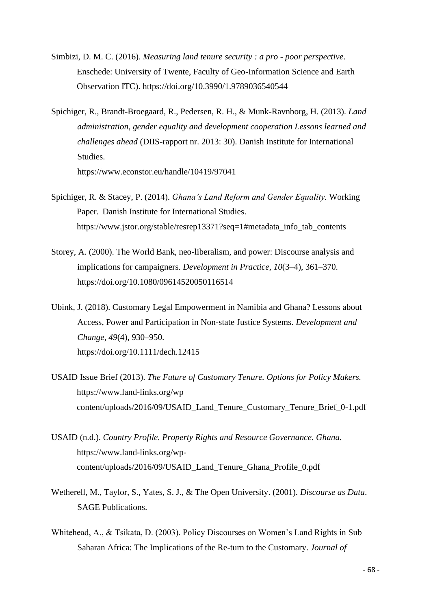- Simbizi, D. M. C. (2016). *Measuring land tenure security : a pro - poor perspective*. Enschede: University of Twente, Faculty of Geo-Information Science and Earth Observation ITC). <https://doi.org/10.3990/1.9789036540544>
- Spichiger, R., Brandt-Broegaard, R., Pedersen, R. H., & Munk-Ravnborg, H. (2013). *Land administration, gender equality and development cooperation Lessons learned and challenges ahead* (DIIS-rapport nr. 2013: 30). Danish Institute for International Studies.

https://www.econstor.eu/handle/10419/97041

- Spichiger, R. & Stacey, P. (2014). *Ghana's Land Reform and Gender Equality.* Working Paper. Danish Institute for International Studies. [https://www.jstor.org/stable/resrep13371?seq=1#metadata\\_info\\_tab\\_contents](https://www.jstor.org/stable/resrep13371?seq=1#metadata_info_tab_contents)
- Storey, A. (2000). The World Bank, neo-liberalism, and power: Discourse analysis and implications for campaigners. *Development in Practice*, *10*(3–4), 361–370. <https://doi.org/10.1080/09614520050116514>
- Ubink, J. (2018). Customary Legal Empowerment in Namibia and Ghana? Lessons about Access, Power and Participation in Non-state Justice Systems. *Development and Change*, *49*(4), 930–950. https://doi.org/10.1111/dech.12415
- USAID Issue Brief (2013). *The Future of Customary Tenure. Options for Policy Makers.* [https://www.land-links.org/wp](https://www.land-links.org/wp%20%09content/uploads/2016/09/USAID_Land_Tenure_Customary_Tenure_Brief_0-1.pdf)  [content/uploads/2016/09/USAID\\_Land\\_Tenure\\_Customary\\_Tenure\\_Brief\\_0-1.pdf](https://www.land-links.org/wp%20%09content/uploads/2016/09/USAID_Land_Tenure_Customary_Tenure_Brief_0-1.pdf)
- USAID (n.d.). *Country Profile. Property Rights and Resource Governance. Ghana.*  [https://www.land-links.org/wp](https://www.land-links.org/wp-%09content/uploads/2016/09/USAID_Land_Tenure_Ghana_Profile_0.pdf)[content/uploads/2016/09/USAID\\_Land\\_Tenure\\_Ghana\\_Profile\\_0.pdf](https://www.land-links.org/wp-%09content/uploads/2016/09/USAID_Land_Tenure_Ghana_Profile_0.pdf)
- Wetherell, M., Taylor, S., Yates, S. J., & The Open University. (2001). *Discourse as Data*. SAGE Publications.
- Whitehead, A., & Tsikata, D. (2003). Policy Discourses on Women's Land Rights in Sub Saharan Africa: The Implications of the Re-turn to the Customary. *Journal of*